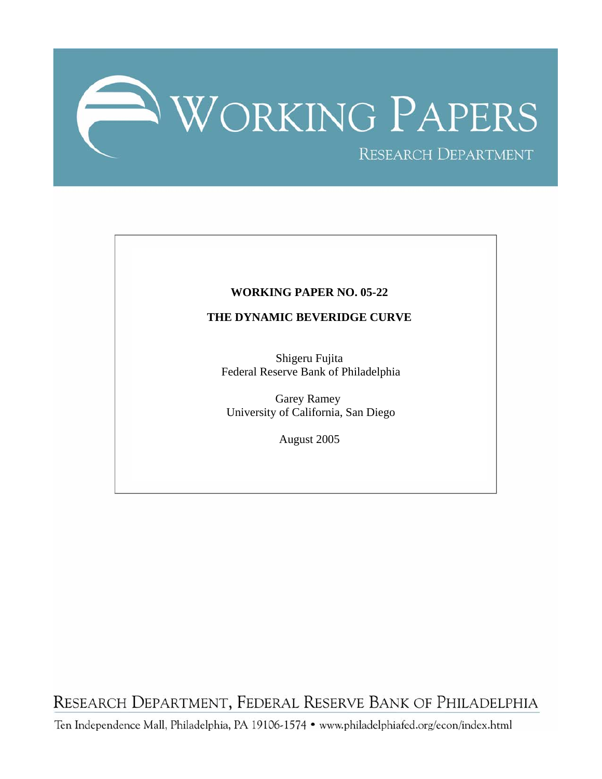

### **WORKING PAPER NO. 05-22**

### **THE DYNAMIC BEVERIDGE CURVE**

Shigeru Fujita Federal Reserve Bank of Philadelphia

Garey Ramey University of California, San Diego

August 2005

RESEARCH DEPARTMENT, FEDERAL RESERVE BANK OF PHILADELPHIA

Ten Independence Mall, Philadelphia, PA 19106-1574 · www.philadelphiafed.org/econ/index.html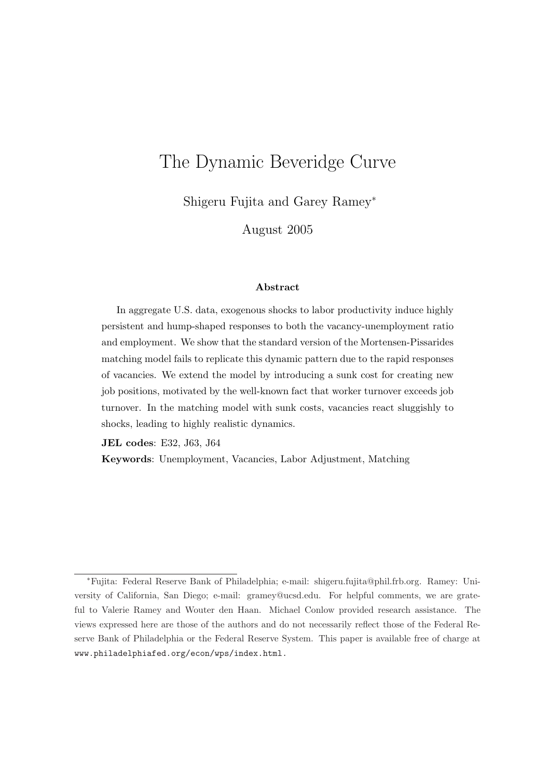# The Dynamic Beveridge Curve

Shigeru Fujita and Garey Ramey<sup>∗</sup>

August 2005

#### Abstract

In aggregate U.S. data, exogenous shocks to labor productivity induce highly persistent and hump-shaped responses to both the vacancy-unemployment ratio and employment. We show that the standard version of the Mortensen-Pissarides matching model fails to replicate this dynamic pattern due to the rapid responses of vacancies. We extend the model by introducing a sunk cost for creating new job positions, motivated by the well-known fact that worker turnover exceeds job turnover. In the matching model with sunk costs, vacancies react sluggishly to shocks, leading to highly realistic dynamics.

JEL codes: E32, J63, J64

Keywords: Unemployment, Vacancies, Labor Adjustment, Matching

<sup>∗</sup>Fujita: Federal Reserve Bank of Philadelphia; e-mail: shigeru.fujita@phil.frb.org. Ramey: University of California, San Diego; e-mail: gramey@ucsd.edu. For helpful comments, we are grateful to Valerie Ramey and Wouter den Haan. Michael Conlow provided research assistance. The views expressed here are those of the authors and do not necessarily reflect those of the Federal Reserve Bank of Philadelphia or the Federal Reserve System. This paper is available free of charge at www.philadelphiafed.org/econ/wps/index.html.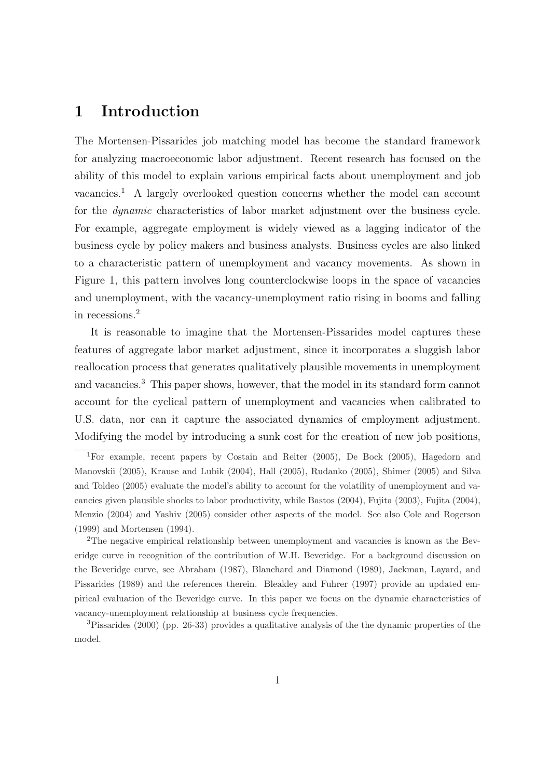# 1 Introduction

The Mortensen-Pissarides job matching model has become the standard framework for analyzing macroeconomic labor adjustment. Recent research has focused on the ability of this model to explain various empirical facts about unemployment and job  $vacancies.<sup>1</sup>$  A largely overlooked question concerns whether the model can account for the dynamic characteristics of labor market adjustment over the business cycle. For example, aggregate employment is widely viewed as a lagging indicator of the business cycle by policy makers and business analysts. Business cycles are also linked to a characteristic pattern of unemployment and vacancy movements. As shown in Figure 1, this pattern involves long counterclockwise loops in the space of vacancies and unemployment, with the vacancy-unemployment ratio rising in booms and falling in recessions.<sup>2</sup>

It is reasonable to imagine that the Mortensen-Pissarides model captures these features of aggregate labor market adjustment, since it incorporates a sluggish labor reallocation process that generates qualitatively plausible movements in unemployment and vacancies.<sup>3</sup> This paper shows, however, that the model in its standard form cannot account for the cyclical pattern of unemployment and vacancies when calibrated to U.S. data, nor can it capture the associated dynamics of employment adjustment. Modifying the model by introducing a sunk cost for the creation of new job positions,

<sup>1</sup>For example, recent papers by Costain and Reiter (2005), De Bock (2005), Hagedorn and Manovskii (2005), Krause and Lubik (2004), Hall (2005), Rudanko (2005), Shimer (2005) and Silva and Toldeo (2005) evaluate the model's ability to account for the volatility of unemployment and vacancies given plausible shocks to labor productivity, while Bastos (2004), Fujita (2003), Fujita (2004), Menzio (2004) and Yashiv (2005) consider other aspects of the model. See also Cole and Rogerson (1999) and Mortensen (1994).

<sup>&</sup>lt;sup>2</sup>The negative empirical relationship between unemployment and vacancies is known as the Beveridge curve in recognition of the contribution of W.H. Beveridge. For a background discussion on the Beveridge curve, see Abraham (1987), Blanchard and Diamond (1989), Jackman, Layard, and Pissarides (1989) and the references therein. Bleakley and Fuhrer (1997) provide an updated empirical evaluation of the Beveridge curve. In this paper we focus on the dynamic characteristics of vacancy-unemployment relationship at business cycle frequencies.

<sup>3</sup>Pissarides (2000) (pp. 26-33) provides a qualitative analysis of the the dynamic properties of the model.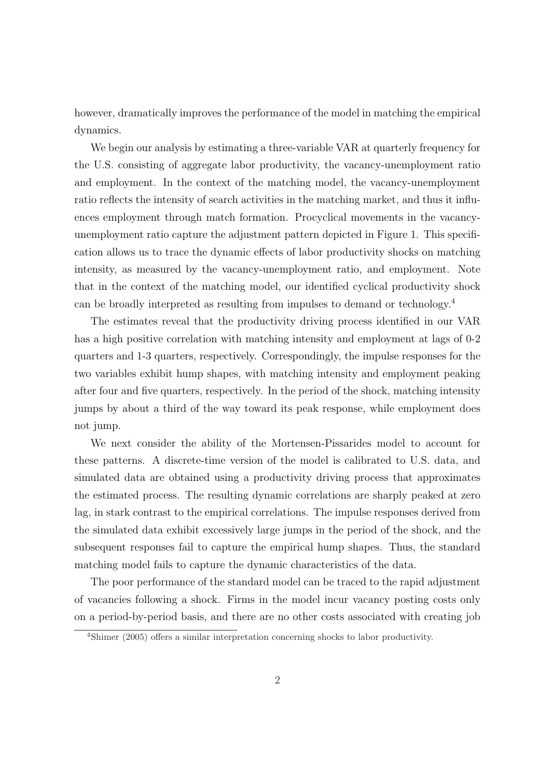however, dramatically improves the performance of the model in matching the empirical dynamics.

We begin our analysis by estimating a three-variable VAR at quarterly frequency for the U.S. consisting of aggregate labor productivity, the vacancy-unemployment ratio and employment. In the context of the matching model, the vacancy-unemployment ratio reflects the intensity of search activities in the matching market, and thus it influences employment through match formation. Procyclical movements in the vacancyunemployment ratio capture the adjustment pattern depicted in Figure 1. This specification allows us to trace the dynamic effects of labor productivity shocks on matching intensity, as measured by the vacancy-unemployment ratio, and employment. Note that in the context of the matching model, our identified cyclical productivity shock can be broadly interpreted as resulting from impulses to demand or technology.<sup>4</sup>

The estimates reveal that the productivity driving process identified in our VAR has a high positive correlation with matching intensity and employment at lags of 0-2 quarters and 1-3 quarters, respectively. Correspondingly, the impulse responses for the two variables exhibit hump shapes, with matching intensity and employment peaking after four and five quarters, respectively. In the period of the shock, matching intensity jumps by about a third of the way toward its peak response, while employment does not jump.

We next consider the ability of the Mortensen-Pissarides model to account for these patterns. A discrete-time version of the model is calibrated to U.S. data, and simulated data are obtained using a productivity driving process that approximates the estimated process. The resulting dynamic correlations are sharply peaked at zero lag, in stark contrast to the empirical correlations. The impulse responses derived from the simulated data exhibit excessively large jumps in the period of the shock, and the subsequent responses fail to capture the empirical hump shapes. Thus, the standard matching model fails to capture the dynamic characteristics of the data.

The poor performance of the standard model can be traced to the rapid adjustment of vacancies following a shock. Firms in the model incur vacancy posting costs only on a period-by-period basis, and there are no other costs associated with creating job

<sup>4</sup>Shimer (2005) offers a similar interpretation concerning shocks to labor productivity.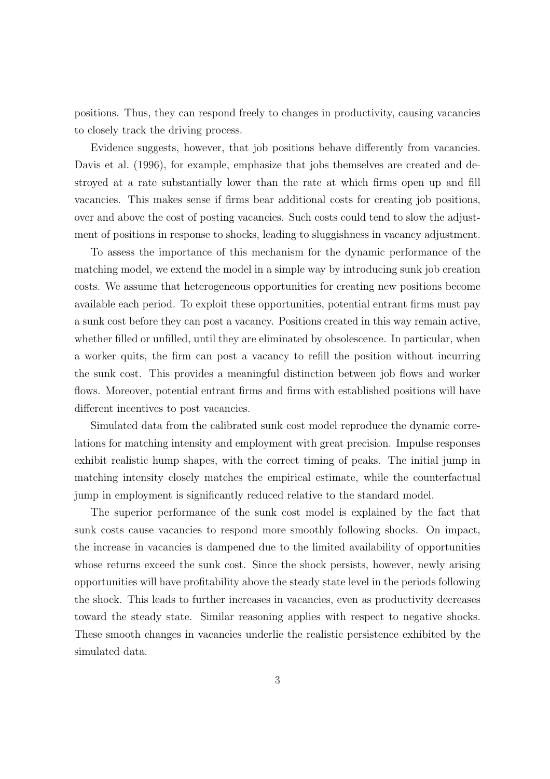positions. Thus, they can respond freely to changes in productivity, causing vacancies to closely track the driving process.

Evidence suggests, however, that job positions behave differently from vacancies. Davis et al. (1996), for example, emphasize that jobs themselves are created and destroyed at a rate substantially lower than the rate at which firms open up and fill vacancies. This makes sense if firms bear additional costs for creating job positions, over and above the cost of posting vacancies. Such costs could tend to slow the adjustment of positions in response to shocks, leading to sluggishness in vacancy adjustment.

To assess the importance of this mechanism for the dynamic performance of the matching model, we extend the model in a simple way by introducing sunk job creation costs. We assume that heterogeneous opportunities for creating new positions become available each period. To exploit these opportunities, potential entrant firms must pay a sunk cost before they can post a vacancy. Positions created in this way remain active, whether filled or unfilled, until they are eliminated by obsolescence. In particular, when a worker quits, the firm can post a vacancy to refill the position without incurring the sunk cost. This provides a meaningful distinction between job flows and worker flows. Moreover, potential entrant firms and firms with established positions will have different incentives to post vacancies.

Simulated data from the calibrated sunk cost model reproduce the dynamic correlations for matching intensity and employment with great precision. Impulse responses exhibit realistic hump shapes, with the correct timing of peaks. The initial jump in matching intensity closely matches the empirical estimate, while the counterfactual jump in employment is significantly reduced relative to the standard model.

The superior performance of the sunk cost model is explained by the fact that sunk costs cause vacancies to respond more smoothly following shocks. On impact, the increase in vacancies is dampened due to the limited availability of opportunities whose returns exceed the sunk cost. Since the shock persists, however, newly arising opportunities will have profitability above the steady state level in the periods following the shock. This leads to further increases in vacancies, even as productivity decreases toward the steady state. Similar reasoning applies with respect to negative shocks. These smooth changes in vacancies underlie the realistic persistence exhibited by the simulated data.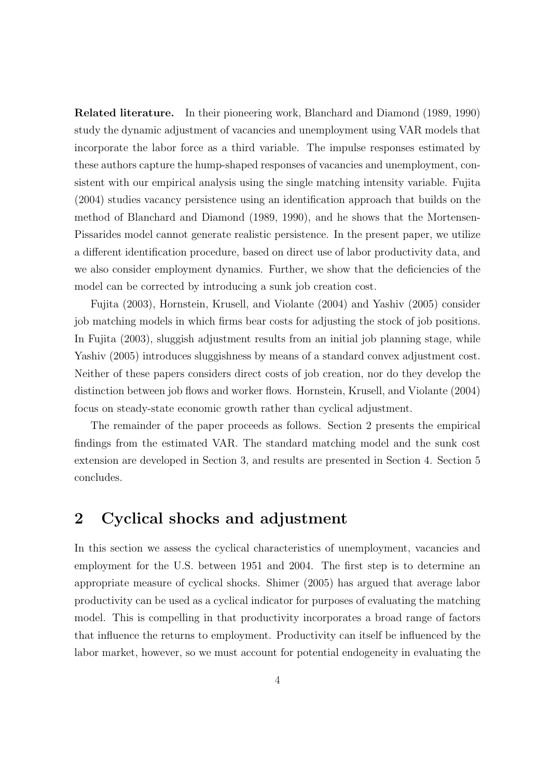Related literature. In their pioneering work, Blanchard and Diamond (1989, 1990) study the dynamic adjustment of vacancies and unemployment using VAR models that incorporate the labor force as a third variable. The impulse responses estimated by these authors capture the hump-shaped responses of vacancies and unemployment, consistent with our empirical analysis using the single matching intensity variable. Fujita (2004) studies vacancy persistence using an identification approach that builds on the method of Blanchard and Diamond (1989, 1990), and he shows that the Mortensen-Pissarides model cannot generate realistic persistence. In the present paper, we utilize a different identification procedure, based on direct use of labor productivity data, and we also consider employment dynamics. Further, we show that the deficiencies of the model can be corrected by introducing a sunk job creation cost.

Fujita (2003), Hornstein, Krusell, and Violante (2004) and Yashiv (2005) consider job matching models in which firms bear costs for adjusting the stock of job positions. In Fujita (2003), sluggish adjustment results from an initial job planning stage, while Yashiv (2005) introduces sluggishness by means of a standard convex adjustment cost. Neither of these papers considers direct costs of job creation, nor do they develop the distinction between job flows and worker flows. Hornstein, Krusell, and Violante (2004) focus on steady-state economic growth rather than cyclical adjustment.

The remainder of the paper proceeds as follows. Section 2 presents the empirical findings from the estimated VAR. The standard matching model and the sunk cost extension are developed in Section 3, and results are presented in Section 4. Section 5 concludes.

# 2 Cyclical shocks and adjustment

In this section we assess the cyclical characteristics of unemployment, vacancies and employment for the U.S. between 1951 and 2004. The first step is to determine an appropriate measure of cyclical shocks. Shimer (2005) has argued that average labor productivity can be used as a cyclical indicator for purposes of evaluating the matching model. This is compelling in that productivity incorporates a broad range of factors that influence the returns to employment. Productivity can itself be influenced by the labor market, however, so we must account for potential endogeneity in evaluating the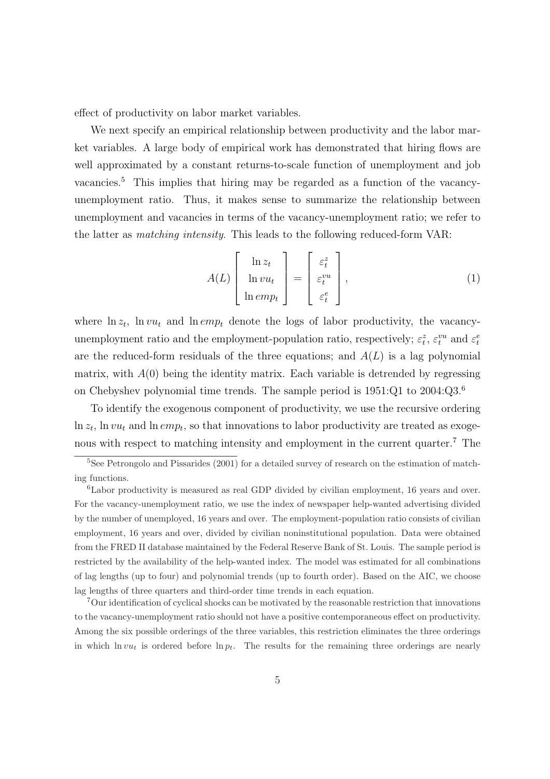effect of productivity on labor market variables.

We next specify an empirical relationship between productivity and the labor market variables. A large body of empirical work has demonstrated that hiring flows are well approximated by a constant returns-to-scale function of unemployment and job vacancies.<sup>5</sup> This implies that hiring may be regarded as a function of the vacancyunemployment ratio. Thus, it makes sense to summarize the relationship between unemployment and vacancies in terms of the vacancy-unemployment ratio; we refer to the latter as matching intensity. This leads to the following reduced-form VAR:

$$
A(L)\begin{bmatrix} \ln z_t \\ \ln vu_t \\ \ln emp_t \end{bmatrix} = \begin{bmatrix} \varepsilon_t^z \\ \varepsilon_t^{vu} \\ \varepsilon_t^e \end{bmatrix},
$$
 (1)

where  $\ln z_t$ ,  $\ln vu_t$  and  $\ln emp_t$  denote the logs of labor productivity, the vacancyunemployment ratio and the employment-population ratio, respectively;  $\varepsilon_t^z$ ,  $\varepsilon_t^{vu}$  and  $\varepsilon_t^e$ are the reduced-form residuals of the three equations; and  $A(L)$  is a lag polynomial matrix, with  $A(0)$  being the identity matrix. Each variable is detrended by regressing on Chebyshev polynomial time trends. The sample period is 1951:Q1 to 2004:Q3.<sup>6</sup>

To identify the exogenous component of productivity, we use the recursive ordering  $\ln z_t$ ,  $\ln vu_t$  and  $\ln emp_t$ , so that innovations to labor productivity are treated as exogenous with respect to matching intensity and employment in the current quarter.<sup>7</sup> The

<sup>&</sup>lt;sup>5</sup>See Petrongolo and Pissarides (2001) for a detailed survey of research on the estimation of matching functions.

<sup>6</sup>Labor productivity is measured as real GDP divided by civilian employment, 16 years and over. For the vacancy-unemployment ratio, we use the index of newspaper help-wanted advertising divided by the number of unemployed, 16 years and over. The employment-population ratio consists of civilian employment, 16 years and over, divided by civilian noninstitutional population. Data were obtained from the FRED II database maintained by the Federal Reserve Bank of St. Louis. The sample period is restricted by the availability of the help-wanted index. The model was estimated for all combinations of lag lengths (up to four) and polynomial trends (up to fourth order). Based on the AIC, we choose lag lengths of three quarters and third-order time trends in each equation.

<sup>7</sup>Our identification of cyclical shocks can be motivated by the reasonable restriction that innovations to the vacancy-unemployment ratio should not have a positive contemporaneous effect on productivity. Among the six possible orderings of the three variables, this restriction eliminates the three orderings in which  $\ln vu_t$  is ordered before  $\ln p_t$ . The results for the remaining three orderings are nearly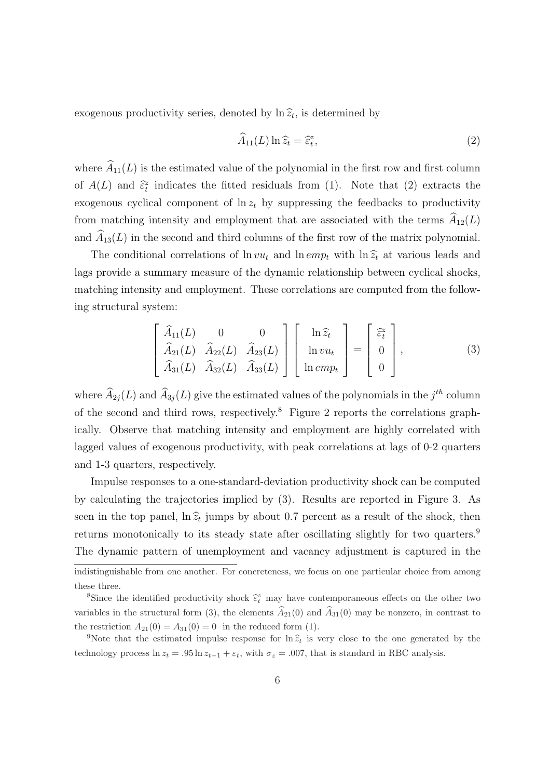exogenous productivity series, denoted by  $\ln \widehat{z}_t$ , is determined by

$$
\widehat{A}_{11}(L)\ln \widehat{z}_t = \widehat{\varepsilon}_t^z,\tag{2}
$$

where  $\widehat{A}_{11}(L)$  is the estimated value of the polynomial in the first row and first column of  $A(L)$  and  $\hat{\epsilon}_t^z$  indicates the fitted residuals from (1). Note that (2) extracts the exogenous cyclical component of  $\ln z_t$  by suppressing the feedbacks to productivity from matching intensity and employment that are associated with the terms  $\widehat{A}_{12}(L)$ and  $\hat{A}_{13}(L)$  in the second and third columns of the first row of the matrix polynomial.

The conditional correlations of  $\ln vu_t$  and  $\ln emp_t$  with  $\ln \hat{z}_t$  at various leads and lags provide a summary measure of the dynamic relationship between cyclical shocks, matching intensity and employment. These correlations are computed from the following structural system:

$$
\begin{bmatrix}\n\widehat{A}_{11}(L) & 0 & 0 \\
\widehat{A}_{21}(L) & \widehat{A}_{22}(L) & \widehat{A}_{23}(L) \\
\widehat{A}_{31}(L) & \widehat{A}_{32}(L) & \widehat{A}_{33}(L)\n\end{bmatrix}\n\begin{bmatrix}\n\ln \widehat{z}_t \\
\ln vu_t \\
\ln emp_t\n\end{bmatrix} =\n\begin{bmatrix}\n\widehat{\varepsilon}_t^* \\
0 \\
0\n\end{bmatrix},
$$
\n(3)

where  $\widehat{A}_{2j}(L)$  and  $\widehat{A}_{3j}(L)$  give the estimated values of the polynomials in the  $j^{th}$  column of the second and third rows, respectively.<sup>8</sup> Figure 2 reports the correlations graphically. Observe that matching intensity and employment are highly correlated with lagged values of exogenous productivity, with peak correlations at lags of 0-2 quarters and 1-3 quarters, respectively.

Impulse responses to a one-standard-deviation productivity shock can be computed by calculating the trajectories implied by (3). Results are reported in Figure 3. As seen in the top panel,  $\ln \hat{z}_t$  jumps by about 0.7 percent as a result of the shock, then returns monotonically to its steady state after oscillating slightly for two quarters.<sup>9</sup> The dynamic pattern of unemployment and vacancy adjustment is captured in the

indistinguishable from one another. For concreteness, we focus on one particular choice from among these three.

<sup>&</sup>lt;sup>8</sup>Since the identified productivity shock  $\hat{\epsilon}_t^z$  may have contemporaneous effects on the other two variables in the structural form (3), the elements  $\hat{A}_{21}(0)$  and  $\hat{A}_{31}(0)$  may be nonzero, in contrast to the restriction  $A_{21}(0) = A_{31}(0) = 0$  in the reduced form (1).

<sup>&</sup>lt;sup>9</sup>Note that the estimated impulse response for  $\ln \hat{z}_t$  is very close to the one generated by the technology process  $\ln z_t = .95 \ln z_{t-1} + \varepsilon_t$ , with  $\sigma_z = .007$ , that is standard in RBC analysis.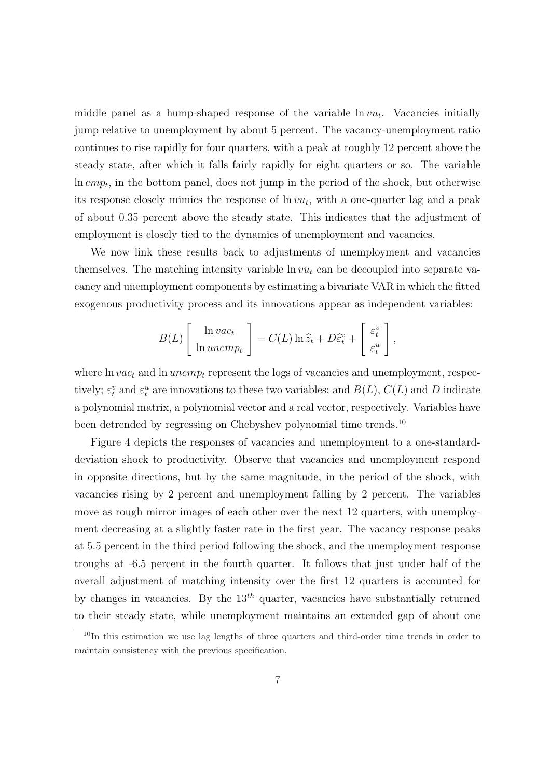middle panel as a hump-shaped response of the variable  $\ln vu_t$ . Vacancies initially jump relative to unemployment by about 5 percent. The vacancy-unemployment ratio continues to rise rapidly for four quarters, with a peak at roughly 12 percent above the steady state, after which it falls fairly rapidly for eight quarters or so. The variable  $\ln emp_t$ , in the bottom panel, does not jump in the period of the shock, but otherwise its response closely mimics the response of  $\ln vu_t$ , with a one-quarter lag and a peak of about 0.35 percent above the steady state. This indicates that the adjustment of employment is closely tied to the dynamics of unemployment and vacancies.

We now link these results back to adjustments of unemployment and vacancies themselves. The matching intensity variable  $\ln vu_t$  can be decoupled into separate vacancy and unemployment components by estimating a bivariate VAR in which the fitted exogenous productivity process and its innovations appear as independent variables:

$$
B(L)\left[\begin{array}{c}\ln vac_t\\ \ln unemp_t\end{array}\right] = C(L)\ln \widehat{z}_t + D\widehat{\varepsilon}_t^x + \left[\begin{array}{c}\varepsilon_t^v\\ \varepsilon_t^u\end{array}\right],
$$

where  $\ln vac_t$  and  $\ln unemp_t$  represent the logs of vacancies and unemployment, respectively;  $\varepsilon_t^v$  and  $\varepsilon_t^u$  are innovations to these two variables; and  $B(L)$ ,  $C(L)$  and D indicate a polynomial matrix, a polynomial vector and a real vector, respectively. Variables have been detrended by regressing on Chebyshev polynomial time trends.<sup>10</sup>

Figure 4 depicts the responses of vacancies and unemployment to a one-standarddeviation shock to productivity. Observe that vacancies and unemployment respond in opposite directions, but by the same magnitude, in the period of the shock, with vacancies rising by 2 percent and unemployment falling by 2 percent. The variables move as rough mirror images of each other over the next 12 quarters, with unemployment decreasing at a slightly faster rate in the first year. The vacancy response peaks at 5.5 percent in the third period following the shock, and the unemployment response troughs at -6.5 percent in the fourth quarter. It follows that just under half of the overall adjustment of matching intensity over the first 12 quarters is accounted for by changes in vacancies. By the  $13<sup>th</sup>$  quarter, vacancies have substantially returned to their steady state, while unemployment maintains an extended gap of about one

<sup>&</sup>lt;sup>10</sup>In this estimation we use lag lengths of three quarters and third-order time trends in order to maintain consistency with the previous specification.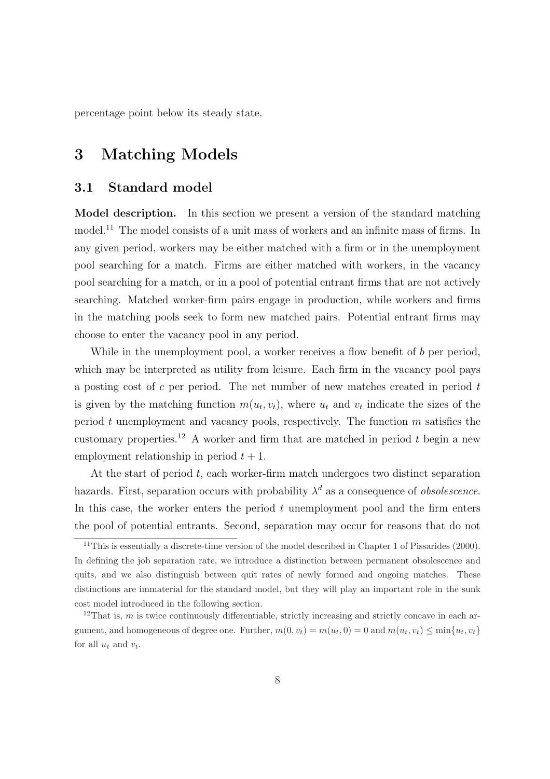percentage point below its steady state.

# 3 Matching Models

### 3.1 Standard model

Model description. In this section we present a version of the standard matching model.<sup>11</sup> The model consists of a unit mass of workers and an infinite mass of firms. In any given period, workers may be either matched with a firm or in the unemployment pool searching for a match. Firms are either matched with workers, in the vacancy pool searching for a match, or in a pool of potential entrant firms that are not actively searching. Matched worker-firm pairs engage in production, while workers and firms in the matching pools seek to form new matched pairs. Potential entrant firms may choose to enter the vacancy pool in any period.

While in the unemployment pool, a worker receives a flow benefit of b per period, which may be interpreted as utility from leisure. Each firm in the vacancy pool pays a posting cost of c per period. The net number of new matches created in period  $t$ is given by the matching function  $m(u_t, v_t)$ , where  $u_t$  and  $v_t$  indicate the sizes of the period t unemployment and vacancy pools, respectively. The function  $m$  satisfies the customary properties.<sup>12</sup> A worker and firm that are matched in period t begin a new employment relationship in period  $t + 1$ .

At the start of period  $t$ , each worker-firm match undergoes two distinct separation hazards. First, separation occurs with probability  $\lambda^d$  as a consequence of *obsolescence*. In this case, the worker enters the period  $t$  unemployment pool and the firm enters the pool of potential entrants. Second, separation may occur for reasons that do not

<sup>&</sup>lt;sup>11</sup>This is essentially a discrete-time version of the model described in Chapter 1 of Pissarides (2000). In defining the job separation rate, we introduce a distinction between permanent obsolescence and quits, and we also distinguish between quit rates of newly formed and ongoing matches. These distinctions are immaterial for the standard model, but they will play an important role in the sunk cost model introduced in the following section.

 $12$ That is, m is twice continuously differentiable, strictly increasing and strictly concave in each argument, and homogeneous of degree one. Further,  $m(0, v_t) = m(u_t, 0) = 0$  and  $m(u_t, v_t) \le \min\{u_t, v_t\}$ for all  $u_t$  and  $v_t$ .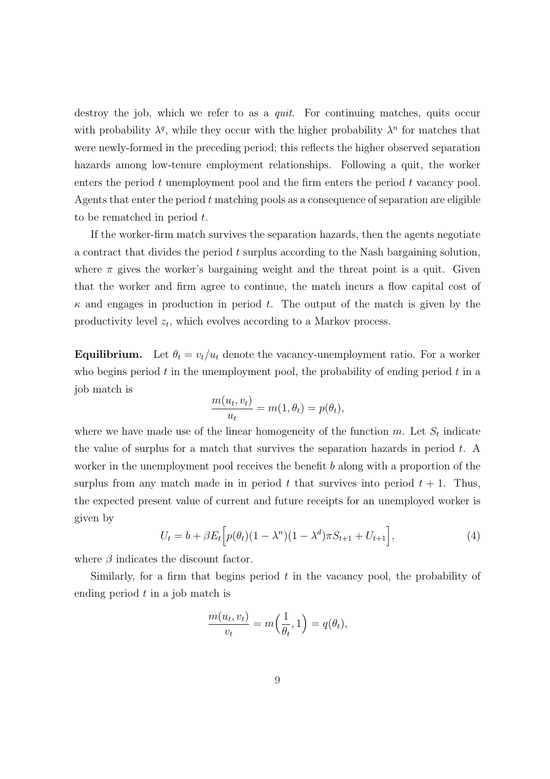destroy the job, which we refer to as a quit. For continuing matches, quits occur with probability  $\lambda^q$ , while they occur with the higher probability  $\lambda^n$  for matches that were newly-formed in the preceding period; this reflects the higher observed separation hazards among low-tenure employment relationships. Following a quit, the worker enters the period  $t$  unemployment pool and the firm enters the period  $t$  vacancy pool. Agents that enter the period  $t$  matching pools as a consequence of separation are eligible to be rematched in period t.

If the worker-firm match survives the separation hazards, then the agents negotiate a contract that divides the period t surplus according to the Nash bargaining solution, where  $\pi$  gives the worker's bargaining weight and the threat point is a quit. Given that the worker and firm agree to continue, the match incurs a flow capital cost of  $\kappa$  and engages in production in period t. The output of the match is given by the productivity level  $z_t$ , which evolves according to a Markov process.

**Equilibrium.** Let  $\theta_t = v_t/u_t$  denote the vacancy-unemployment ratio. For a worker who begins period  $t$  in the unemployment pool, the probability of ending period  $t$  in a job match is

$$
\frac{m(u_t, v_t)}{u_t} = m(1, \theta_t) = p(\theta_t),
$$

where we have made use of the linear homogeneity of the function  $m$ . Let  $S_t$  indicate the value of surplus for a match that survives the separation hazards in period  $t$ . A worker in the unemployment pool receives the benefit  $b$  along with a proportion of the surplus from any match made in in period t that survives into period  $t + 1$ . Thus, the expected present value of current and future receipts for an unemployed worker is given by h

$$
U_t = b + \beta E_t \Big[ p(\theta_t)(1 - \lambda^n)(1 - \lambda^d)\pi S_{t+1} + U_{t+1} \Big], \tag{4}
$$

where  $\beta$  indicates the discount factor.

Similarly, for a firm that begins period  $t$  in the vacancy pool, the probability of ending period  $t$  in a job match is

$$
\frac{m(u_t, v_t)}{v_t} = m\left(\frac{1}{\theta_t}, 1\right) = q(\theta_t),
$$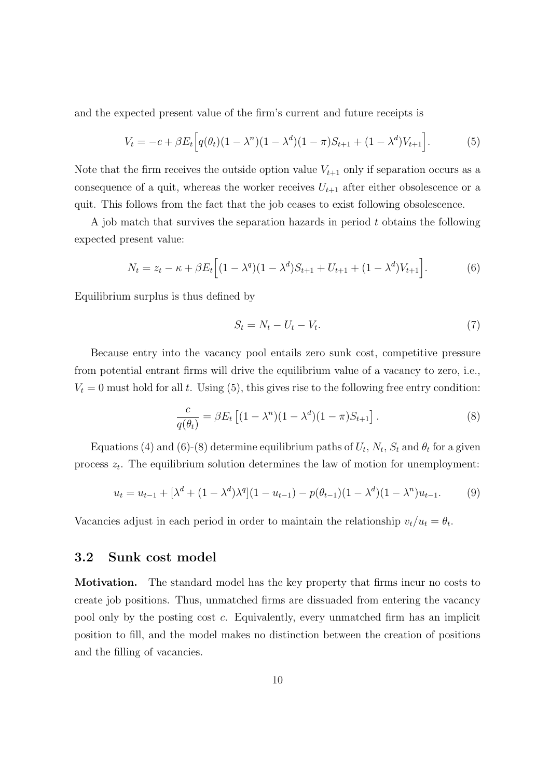and the expected present value of the firm's current and future receipts is

$$
V_t = -c + \beta E_t \Big[ q(\theta_t)(1 - \lambda^n)(1 - \lambda^d)(1 - \pi)S_{t+1} + (1 - \lambda^d)V_{t+1} \Big].
$$
 (5)

Note that the firm receives the outside option value  $V_{t+1}$  only if separation occurs as a consequence of a quit, whereas the worker receives  $U_{t+1}$  after either obsolescence or a quit. This follows from the fact that the job ceases to exist following obsolescence.

A job match that survives the separation hazards in period t obtains the following expected present value:

$$
N_t = z_t - \kappa + \beta E_t \Big[ (1 - \lambda^q)(1 - \lambda^d)S_{t+1} + U_{t+1} + (1 - \lambda^d)V_{t+1} \Big]. \tag{6}
$$

Equilibrium surplus is thus defined by

$$
S_t = N_t - U_t - V_t. \tag{7}
$$

Because entry into the vacancy pool entails zero sunk cost, competitive pressure from potential entrant firms will drive the equilibrium value of a vacancy to zero, i.e.,  $V_t = 0$  must hold for all t. Using (5), this gives rise to the following free entry condition:

$$
\frac{c}{q(\theta_t)} = \beta E_t \left[ (1 - \lambda^n)(1 - \lambda^d)(1 - \pi)S_{t+1} \right]. \tag{8}
$$

Equations (4) and (6)-(8) determine equilibrium paths of  $U_t$ ,  $N_t$ ,  $S_t$  and  $\theta_t$  for a given process  $z_t$ . The equilibrium solution determines the law of motion for unemployment:

$$
u_t = u_{t-1} + \left[\lambda^d + (1 - \lambda^d)\lambda^q\right](1 - u_{t-1}) - p(\theta_{t-1})(1 - \lambda^d)(1 - \lambda^n)u_{t-1}.
$$
 (9)

Vacancies adjust in each period in order to maintain the relationship  $v_t/u_t = \theta_t$ .

### 3.2 Sunk cost model

Motivation. The standard model has the key property that firms incur no costs to create job positions. Thus, unmatched firms are dissuaded from entering the vacancy pool only by the posting cost c. Equivalently, every unmatched firm has an implicit position to fill, and the model makes no distinction between the creation of positions and the filling of vacancies.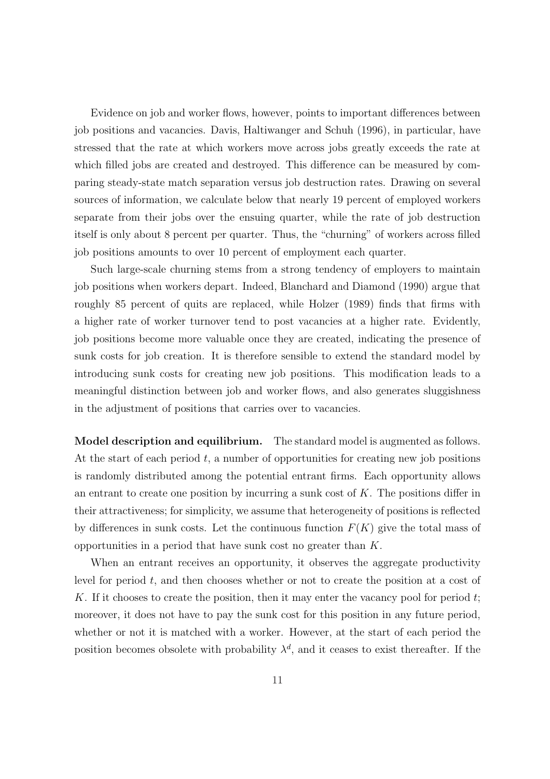Evidence on job and worker flows, however, points to important differences between job positions and vacancies. Davis, Haltiwanger and Schuh (1996), in particular, have stressed that the rate at which workers move across jobs greatly exceeds the rate at which filled jobs are created and destroyed. This difference can be measured by comparing steady-state match separation versus job destruction rates. Drawing on several sources of information, we calculate below that nearly 19 percent of employed workers separate from their jobs over the ensuing quarter, while the rate of job destruction itself is only about 8 percent per quarter. Thus, the "churning" of workers across filled job positions amounts to over 10 percent of employment each quarter.

Such large-scale churning stems from a strong tendency of employers to maintain job positions when workers depart. Indeed, Blanchard and Diamond (1990) argue that roughly 85 percent of quits are replaced, while Holzer (1989) finds that firms with a higher rate of worker turnover tend to post vacancies at a higher rate. Evidently, job positions become more valuable once they are created, indicating the presence of sunk costs for job creation. It is therefore sensible to extend the standard model by introducing sunk costs for creating new job positions. This modification leads to a meaningful distinction between job and worker flows, and also generates sluggishness in the adjustment of positions that carries over to vacancies.

Model description and equilibrium. The standard model is augmented as follows. At the start of each period  $t$ , a number of opportunities for creating new job positions is randomly distributed among the potential entrant firms. Each opportunity allows an entrant to create one position by incurring a sunk cost of  $K$ . The positions differ in their attractiveness; for simplicity, we assume that heterogeneity of positions is reflected by differences in sunk costs. Let the continuous function  $F(K)$  give the total mass of opportunities in a period that have sunk cost no greater than K.

When an entrant receives an opportunity, it observes the aggregate productivity level for period t, and then chooses whether or not to create the position at a cost of K. If it chooses to create the position, then it may enter the vacancy pool for period  $t$ ; moreover, it does not have to pay the sunk cost for this position in any future period, whether or not it is matched with a worker. However, at the start of each period the position becomes obsolete with probability  $\lambda^d$ , and it ceases to exist thereafter. If the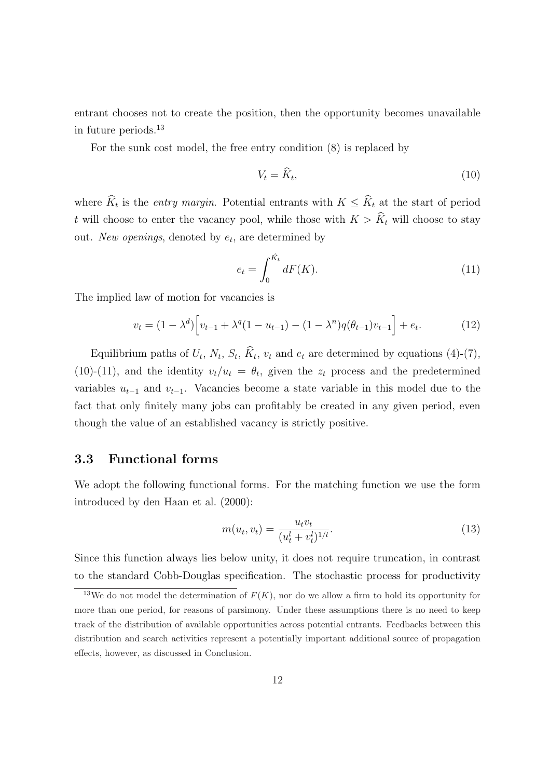entrant chooses not to create the position, then the opportunity becomes unavailable in future periods.<sup>13</sup>

For the sunk cost model, the free entry condition (8) is replaced by

$$
V_t = \widehat{K}_t,\tag{10}
$$

where  $\widehat{K}_t$  is the *entry margin*. Potential entrants with  $K \leq \widehat{K}_t$  at the start of period t will choose to enter the vacancy pool, while those with  $K > \widehat{K}_t$  will choose to stay out. New openings, denoted by  $e_t$ , are determined by

$$
e_t = \int_0^{\hat{K}_t} dF(K). \tag{11}
$$

The implied law of motion for vacancies is

$$
v_t = (1 - \lambda^d) \Big[ v_{t-1} + \lambda^q (1 - u_{t-1}) - (1 - \lambda^n) q(\theta_{t-1}) v_{t-1} \Big] + e_t.
$$
 (12)

Equilibrium paths of  $U_t$ ,  $N_t$ ,  $S_t$ ,  $\widehat{K}_t$ ,  $v_t$  and  $e_t$  are determined by equations (4)-(7), (10)-(11), and the identity  $v_t/u_t = \theta_t$ , given the  $z_t$  process and the predetermined variables  $u_{t-1}$  and  $v_{t-1}$ . Vacancies become a state variable in this model due to the fact that only finitely many jobs can profitably be created in any given period, even though the value of an established vacancy is strictly positive.

#### 3.3 Functional forms

We adopt the following functional forms. For the matching function we use the form introduced by den Haan et al. (2000):

$$
m(u_t, v_t) = \frac{u_t v_t}{(u_t^l + v_t^l)^{1/l}}.
$$
\n(13)

Since this function always lies below unity, it does not require truncation, in contrast to the standard Cobb-Douglas specification. The stochastic process for productivity

<sup>&</sup>lt;sup>13</sup>We do not model the determination of  $F(K)$ , nor do we allow a firm to hold its opportunity for more than one period, for reasons of parsimony. Under these assumptions there is no need to keep track of the distribution of available opportunities across potential entrants. Feedbacks between this distribution and search activities represent a potentially important additional source of propagation effects, however, as discussed in Conclusion.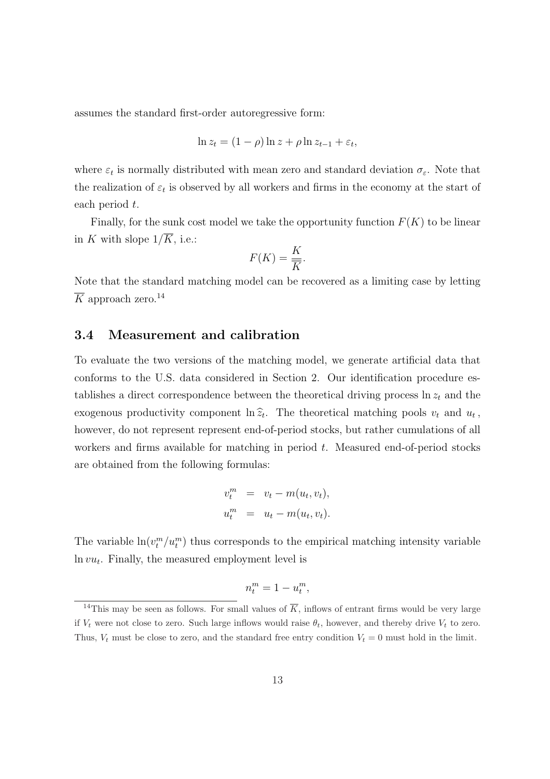assumes the standard first-order autoregressive form:

$$
\ln z_t = (1 - \rho) \ln z + \rho \ln z_{t-1} + \varepsilon_t,
$$

where  $\varepsilon_t$  is normally distributed with mean zero and standard deviation  $\sigma_{\varepsilon}$ . Note that the realization of  $\varepsilon_t$  is observed by all workers and firms in the economy at the start of each period t.

Finally, for the sunk cost model we take the opportunity function  $F(K)$  to be linear in K with slope  $1/\overline{K}$ , i.e.:

$$
F(K) = \frac{K}{\overline{K}}.
$$

Note that the standard matching model can be recovered as a limiting case by letting  $\overline{K}$  approach zero.<sup>14</sup>

#### 3.4 Measurement and calibration

To evaluate the two versions of the matching model, we generate artificial data that conforms to the U.S. data considered in Section 2. Our identification procedure establishes a direct correspondence between the theoretical driving process  $\ln z_t$  and the exogenous productivity component  $\ln \hat{z}_t$ . The theoretical matching pools  $v_t$  and  $u_t$ , however, do not represent represent end-of-period stocks, but rather cumulations of all workers and firms available for matching in period  $t$ . Measured end-of-period stocks are obtained from the following formulas:

$$
v_t^m = v_t - m(u_t, v_t),
$$
  

$$
u_t^m = u_t - m(u_t, v_t).
$$

The variable  $\ln(v_t^m/u_t^m)$  thus corresponds to the empirical matching intensity variable  $ln vu_t$ . Finally, the measured employment level is

$$
n_t^m = 1 - u_t^m,
$$

<sup>&</sup>lt;sup>14</sup>This may be seen as follows. For small values of  $\overline{K}$ , inflows of entrant firms would be very large if  $V_t$  were not close to zero. Such large inflows would raise  $\theta_t$ , however, and thereby drive  $V_t$  to zero. Thus,  $V_t$  must be close to zero, and the standard free entry condition  $V_t = 0$  must hold in the limit.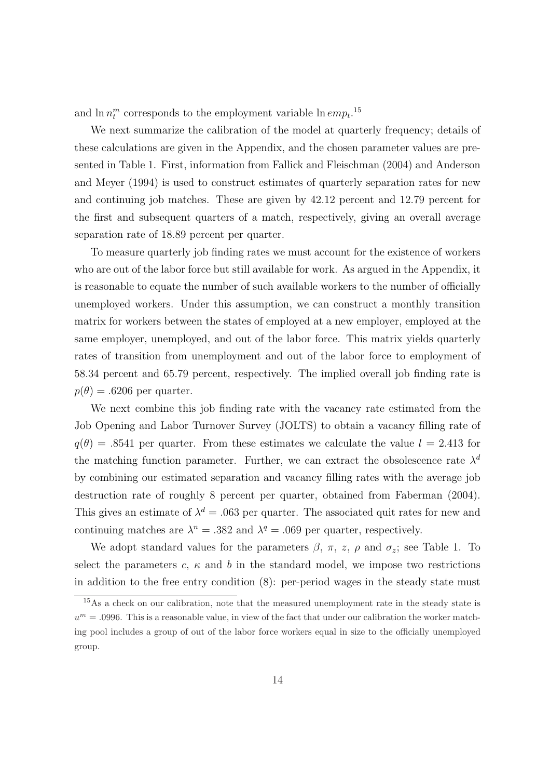and  $\ln n_t^m$  corresponds to the employment variable  $\ln emp_t$ <sup>15</sup>

We next summarize the calibration of the model at quarterly frequency; details of these calculations are given in the Appendix, and the chosen parameter values are presented in Table 1. First, information from Fallick and Fleischman (2004) and Anderson and Meyer (1994) is used to construct estimates of quarterly separation rates for new and continuing job matches. These are given by 42.12 percent and 12.79 percent for the first and subsequent quarters of a match, respectively, giving an overall average separation rate of 18.89 percent per quarter.

To measure quarterly job finding rates we must account for the existence of workers who are out of the labor force but still available for work. As argued in the Appendix, it is reasonable to equate the number of such available workers to the number of officially unemployed workers. Under this assumption, we can construct a monthly transition matrix for workers between the states of employed at a new employer, employed at the same employer, unemployed, and out of the labor force. This matrix yields quarterly rates of transition from unemployment and out of the labor force to employment of 58.34 percent and 65.79 percent, respectively. The implied overall job finding rate is  $p(\theta) = .6206$  per quarter.

We next combine this job finding rate with the vacancy rate estimated from the Job Opening and Labor Turnover Survey (JOLTS) to obtain a vacancy filling rate of  $q(\theta) = .8541$  per quarter. From these estimates we calculate the value  $l = 2.413$  for the matching function parameter. Further, we can extract the obsolescence rate  $\lambda^d$ by combining our estimated separation and vacancy filling rates with the average job destruction rate of roughly 8 percent per quarter, obtained from Faberman (2004). This gives an estimate of  $\lambda^d = 0.063$  per quarter. The associated quit rates for new and continuing matches are  $\lambda^n = .382$  and  $\lambda^q = .069$  per quarter, respectively.

We adopt standard values for the parameters  $\beta$ ,  $\pi$ ,  $z$ ,  $\rho$  and  $\sigma_z$ ; see Table 1. To select the parameters  $c, \kappa$  and b in the standard model, we impose two restrictions in addition to the free entry condition (8): per-period wages in the steady state must

<sup>&</sup>lt;sup>15</sup>As a check on our calibration, note that the measured unemployment rate in the steady state is  $u^m = 0.0996$ . This is a reasonable value, in view of the fact that under our calibration the worker matching pool includes a group of out of the labor force workers equal in size to the officially unemployed group.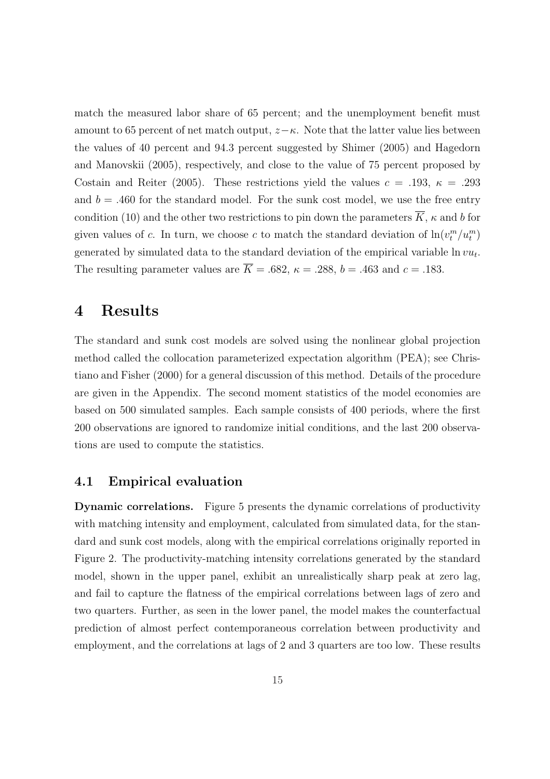match the measured labor share of 65 percent; and the unemployment benefit must amount to 65 percent of net match output,  $z-\kappa$ . Note that the latter value lies between the values of 40 percent and 94.3 percent suggested by Shimer (2005) and Hagedorn and Manovskii (2005), respectively, and close to the value of 75 percent proposed by Costain and Reiter (2005). These restrictions yield the values  $c = .193, \ \kappa = .293$ and  $b = .460$  for the standard model. For the sunk cost model, we use the free entry condition (10) and the other two restrictions to pin down the parameters  $\overline{K}$ ,  $\kappa$  and b for given values of c. In turn, we choose c to match the standard deviation of  $\ln(v_t^m/u_t^m)$ generated by simulated data to the standard deviation of the empirical variable  $\ln vu_t$ . The resulting parameter values are  $\overline{K} = .682$ ,  $\kappa = .288$ ,  $b = .463$  and  $c = .183$ .

# 4 Results

The standard and sunk cost models are solved using the nonlinear global projection method called the collocation parameterized expectation algorithm (PEA); see Christiano and Fisher (2000) for a general discussion of this method. Details of the procedure are given in the Appendix. The second moment statistics of the model economies are based on 500 simulated samples. Each sample consists of 400 periods, where the first 200 observations are ignored to randomize initial conditions, and the last 200 observations are used to compute the statistics.

#### 4.1 Empirical evaluation

Dynamic correlations. Figure 5 presents the dynamic correlations of productivity with matching intensity and employment, calculated from simulated data, for the standard and sunk cost models, along with the empirical correlations originally reported in Figure 2. The productivity-matching intensity correlations generated by the standard model, shown in the upper panel, exhibit an unrealistically sharp peak at zero lag, and fail to capture the flatness of the empirical correlations between lags of zero and two quarters. Further, as seen in the lower panel, the model makes the counterfactual prediction of almost perfect contemporaneous correlation between productivity and employment, and the correlations at lags of 2 and 3 quarters are too low. These results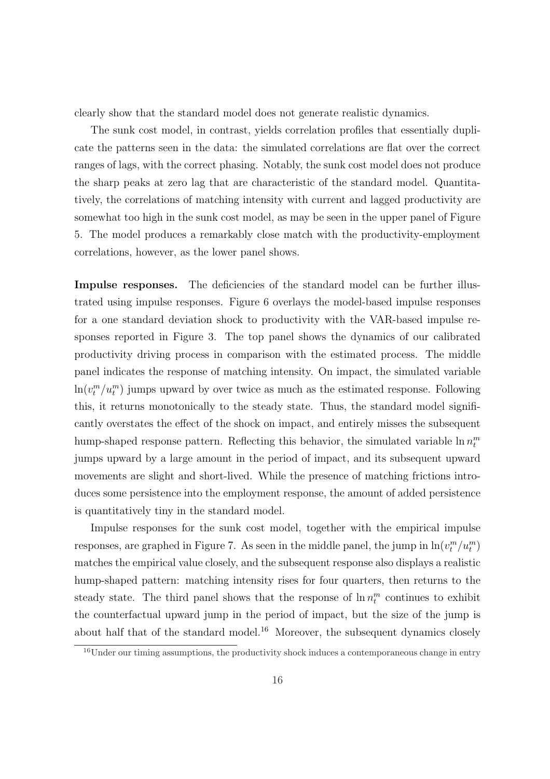clearly show that the standard model does not generate realistic dynamics.

The sunk cost model, in contrast, yields correlation profiles that essentially duplicate the patterns seen in the data: the simulated correlations are flat over the correct ranges of lags, with the correct phasing. Notably, the sunk cost model does not produce the sharp peaks at zero lag that are characteristic of the standard model. Quantitatively, the correlations of matching intensity with current and lagged productivity are somewhat too high in the sunk cost model, as may be seen in the upper panel of Figure 5. The model produces a remarkably close match with the productivity-employment correlations, however, as the lower panel shows.

Impulse responses. The deficiencies of the standard model can be further illustrated using impulse responses. Figure 6 overlays the model-based impulse responses for a one standard deviation shock to productivity with the VAR-based impulse responses reported in Figure 3. The top panel shows the dynamics of our calibrated productivity driving process in comparison with the estimated process. The middle panel indicates the response of matching intensity. On impact, the simulated variable  $\ln(v_t^m/u_t^m)$  jumps upward by over twice as much as the estimated response. Following this, it returns monotonically to the steady state. Thus, the standard model significantly overstates the effect of the shock on impact, and entirely misses the subsequent hump-shaped response pattern. Reflecting this behavior, the simulated variable  $\ln n_t^m$ jumps upward by a large amount in the period of impact, and its subsequent upward movements are slight and short-lived. While the presence of matching frictions introduces some persistence into the employment response, the amount of added persistence is quantitatively tiny in the standard model.

Impulse responses for the sunk cost model, together with the empirical impulse responses, are graphed in Figure 7. As seen in the middle panel, the jump in  $\ln(v_t^m/u_t^m)$ matches the empirical value closely, and the subsequent response also displays a realistic hump-shaped pattern: matching intensity rises for four quarters, then returns to the steady state. The third panel shows that the response of  $\ln n_t^m$  continues to exhibit the counterfactual upward jump in the period of impact, but the size of the jump is about half that of the standard model.<sup>16</sup> Moreover, the subsequent dynamics closely

<sup>&</sup>lt;sup>16</sup>Under our timing assumptions, the productivity shock induces a contemporaneous change in entry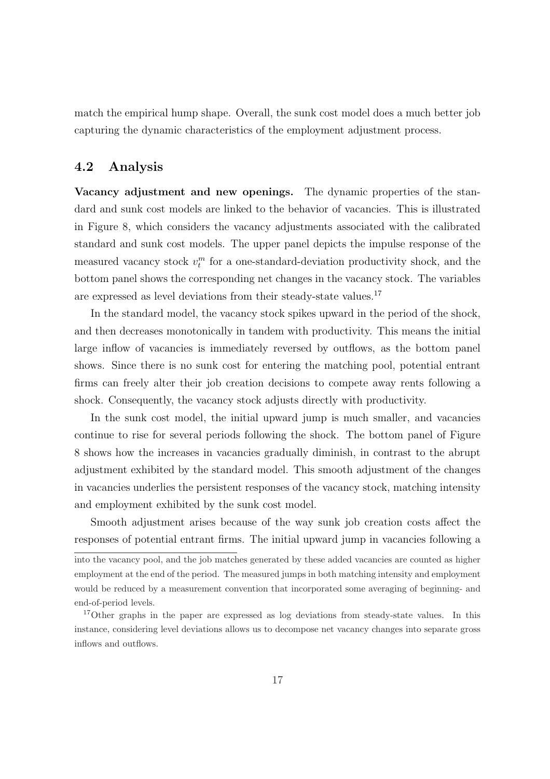match the empirical hump shape. Overall, the sunk cost model does a much better job capturing the dynamic characteristics of the employment adjustment process.

#### 4.2 Analysis

Vacancy adjustment and new openings. The dynamic properties of the standard and sunk cost models are linked to the behavior of vacancies. This is illustrated in Figure 8, which considers the vacancy adjustments associated with the calibrated standard and sunk cost models. The upper panel depicts the impulse response of the measured vacancy stock  $v_t^m$  for a one-standard-deviation productivity shock, and the bottom panel shows the corresponding net changes in the vacancy stock. The variables are expressed as level deviations from their steady-state values.<sup>17</sup>

In the standard model, the vacancy stock spikes upward in the period of the shock, and then decreases monotonically in tandem with productivity. This means the initial large inflow of vacancies is immediately reversed by outflows, as the bottom panel shows. Since there is no sunk cost for entering the matching pool, potential entrant firms can freely alter their job creation decisions to compete away rents following a shock. Consequently, the vacancy stock adjusts directly with productivity.

In the sunk cost model, the initial upward jump is much smaller, and vacancies continue to rise for several periods following the shock. The bottom panel of Figure 8 shows how the increases in vacancies gradually diminish, in contrast to the abrupt adjustment exhibited by the standard model. This smooth adjustment of the changes in vacancies underlies the persistent responses of the vacancy stock, matching intensity and employment exhibited by the sunk cost model.

Smooth adjustment arises because of the way sunk job creation costs affect the responses of potential entrant firms. The initial upward jump in vacancies following a

into the vacancy pool, and the job matches generated by these added vacancies are counted as higher employment at the end of the period. The measured jumps in both matching intensity and employment would be reduced by a measurement convention that incorporated some averaging of beginning- and end-of-period levels.

<sup>&</sup>lt;sup>17</sup>Other graphs in the paper are expressed as log deviations from steady-state values. In this instance, considering level deviations allows us to decompose net vacancy changes into separate gross inflows and outflows.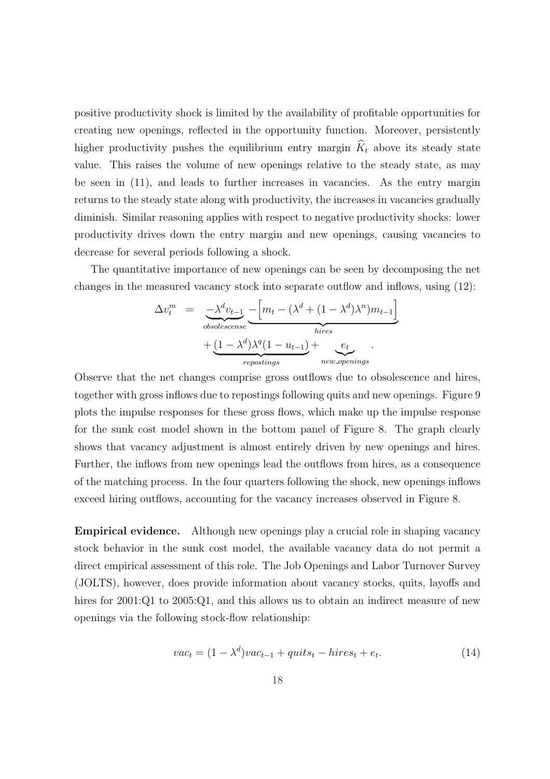positive productivity shock is limited by the availability of profitable opportunities for creating new openings, reflected in the opportunity function. Moreover, persistently higher productivity pushes the equilibrium entry margin  $\hat{K}_t$  above its steady state value. This raises the volume of new openings relative to the steady state, as may be seen in (11), and leads to further increases in vacancies. As the entry margin returns to the steady state along with productivity, the increases in vacancies gradually diminish. Similar reasoning applies with respect to negative productivity shocks: lower productivity drives down the entry margin and new openings, causing vacancies to decrease for several periods following a shock.

The quantitative importance of new openings can be seen by decomposing the net changes in the measured vacancy stock into separate outflow and inflows, using (12):

$$
\Delta v_t^m = \frac{-\lambda^d v_{t-1}}{\text{obsolescense}} \underbrace{-\left[m_t - (\lambda^d + (1 - \lambda^d)\lambda^n)m_{t-1}\right]}_{hires} + \underbrace{(1 - \lambda^d)\lambda^q(1 - u_{t-1})}_{repositions} + \underbrace{e_t}_{new\text{-}openings}.
$$

Observe that the net changes comprise gross outflows due to obsolescence and hires, together with gross inflows due to repostings following quits and new openings. Figure 9 plots the impulse responses for these gross flows, which make up the impulse response for the sunk cost model shown in the bottom panel of Figure 8. The graph clearly shows that vacancy adjustment is almost entirely driven by new openings and hires. Further, the inflows from new openings lead the outflows from hires, as a consequence of the matching process. In the four quarters following the shock, new openings inflows exceed hiring outflows, accounting for the vacancy increases observed in Figure 8.

Empirical evidence. Although new openings play a crucial role in shaping vacancy stock behavior in the sunk cost model, the available vacancy data do not permit a direct empirical assessment of this role. The Job Openings and Labor Turnover Survey (JOLTS), however, does provide information about vacancy stocks, quits, layoffs and hires for 2001:Q1 to 2005:Q1, and this allows us to obtain an indirect measure of new openings via the following stock-flow relationship:

$$
vac_t = (1 - \lambda^d)vac_{t-1} + quits_t - hires_t + e_t.
$$
\n(14)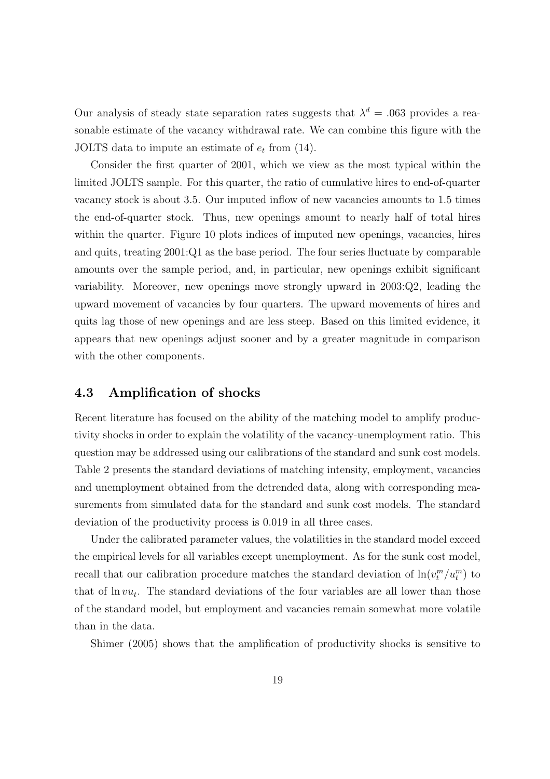Our analysis of steady state separation rates suggests that  $\lambda^d = 0.063$  provides a reasonable estimate of the vacancy withdrawal rate. We can combine this figure with the JOLTS data to impute an estimate of  $e_t$  from (14).

Consider the first quarter of 2001, which we view as the most typical within the limited JOLTS sample. For this quarter, the ratio of cumulative hires to end-of-quarter vacancy stock is about 3.5. Our imputed inflow of new vacancies amounts to 1.5 times the end-of-quarter stock. Thus, new openings amount to nearly half of total hires within the quarter. Figure 10 plots indices of imputed new openings, vacancies, hires and quits, treating 2001:Q1 as the base period. The four series fluctuate by comparable amounts over the sample period, and, in particular, new openings exhibit significant variability. Moreover, new openings move strongly upward in 2003:Q2, leading the upward movement of vacancies by four quarters. The upward movements of hires and quits lag those of new openings and are less steep. Based on this limited evidence, it appears that new openings adjust sooner and by a greater magnitude in comparison with the other components.

#### 4.3 Amplification of shocks

Recent literature has focused on the ability of the matching model to amplify productivity shocks in order to explain the volatility of the vacancy-unemployment ratio. This question may be addressed using our calibrations of the standard and sunk cost models. Table 2 presents the standard deviations of matching intensity, employment, vacancies and unemployment obtained from the detrended data, along with corresponding measurements from simulated data for the standard and sunk cost models. The standard deviation of the productivity process is 0.019 in all three cases.

Under the calibrated parameter values, the volatilities in the standard model exceed the empirical levels for all variables except unemployment. As for the sunk cost model, recall that our calibration procedure matches the standard deviation of  $\ln(v_t^m/u_t^m)$  to that of  $\ln vu_t$ . The standard deviations of the four variables are all lower than those of the standard model, but employment and vacancies remain somewhat more volatile than in the data.

Shimer (2005) shows that the amplification of productivity shocks is sensitive to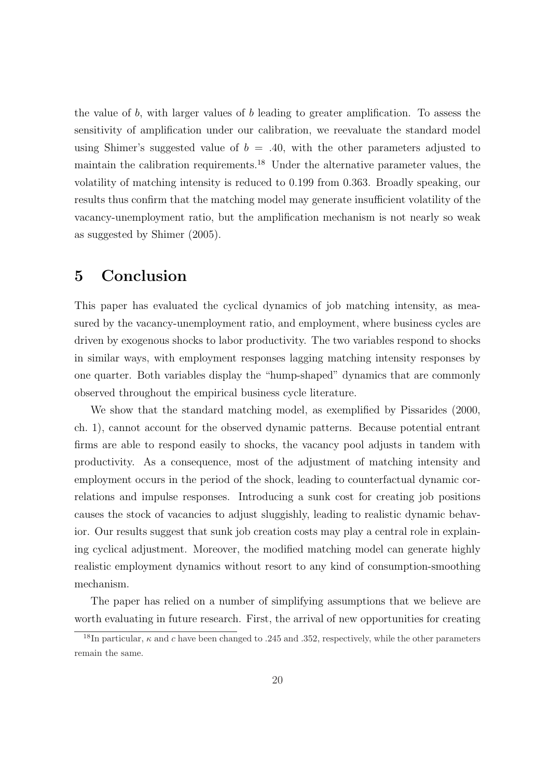the value of b, with larger values of b leading to greater amplification. To assess the sensitivity of amplification under our calibration, we reevaluate the standard model using Shimer's suggested value of  $b = .40$ , with the other parameters adjusted to maintain the calibration requirements.<sup>18</sup> Under the alternative parameter values, the volatility of matching intensity is reduced to 0.199 from 0.363. Broadly speaking, our results thus confirm that the matching model may generate insufficient volatility of the vacancy-unemployment ratio, but the amplification mechanism is not nearly so weak as suggested by Shimer (2005).

### 5 Conclusion

This paper has evaluated the cyclical dynamics of job matching intensity, as measured by the vacancy-unemployment ratio, and employment, where business cycles are driven by exogenous shocks to labor productivity. The two variables respond to shocks in similar ways, with employment responses lagging matching intensity responses by one quarter. Both variables display the "hump-shaped" dynamics that are commonly observed throughout the empirical business cycle literature.

We show that the standard matching model, as exemplified by Pissarides (2000, ch. 1), cannot account for the observed dynamic patterns. Because potential entrant firms are able to respond easily to shocks, the vacancy pool adjusts in tandem with productivity. As a consequence, most of the adjustment of matching intensity and employment occurs in the period of the shock, leading to counterfactual dynamic correlations and impulse responses. Introducing a sunk cost for creating job positions causes the stock of vacancies to adjust sluggishly, leading to realistic dynamic behavior. Our results suggest that sunk job creation costs may play a central role in explaining cyclical adjustment. Moreover, the modified matching model can generate highly realistic employment dynamics without resort to any kind of consumption-smoothing mechanism.

The paper has relied on a number of simplifying assumptions that we believe are worth evaluating in future research. First, the arrival of new opportunities for creating

<sup>&</sup>lt;sup>18</sup>In particular,  $\kappa$  and c have been changed to .245 and .352, respectively, while the other parameters remain the same.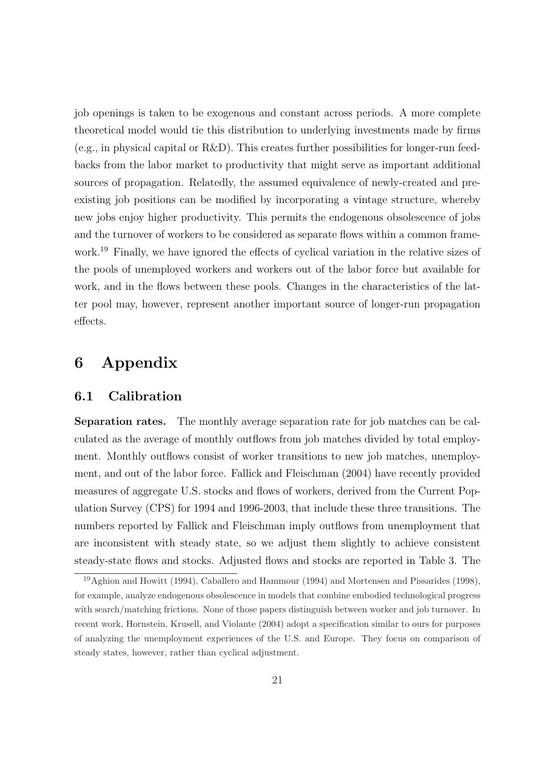job openings is taken to be exogenous and constant across periods. A more complete theoretical model would tie this distribution to underlying investments made by firms  $(e.g., in physical capital or R&D)$ . This creates further possibilities for longer-run feedbacks from the labor market to productivity that might serve as important additional sources of propagation. Relatedly, the assumed equivalence of newly-created and preexisting job positions can be modified by incorporating a vintage structure, whereby new jobs enjoy higher productivity. This permits the endogenous obsolescence of jobs and the turnover of workers to be considered as separate flows within a common framework.<sup>19</sup> Finally, we have ignored the effects of cyclical variation in the relative sizes of the pools of unemployed workers and workers out of the labor force but available for work, and in the flows between these pools. Changes in the characteristics of the latter pool may, however, represent another important source of longer-run propagation effects.

# 6 Appendix

### 6.1 Calibration

Separation rates. The monthly average separation rate for job matches can be calculated as the average of monthly outflows from job matches divided by total employment. Monthly outflows consist of worker transitions to new job matches, unemployment, and out of the labor force. Fallick and Fleischman (2004) have recently provided measures of aggregate U.S. stocks and flows of workers, derived from the Current Population Survey (CPS) for 1994 and 1996-2003, that include these three transitions. The numbers reported by Fallick and Fleischman imply outflows from unemployment that are inconsistent with steady state, so we adjust them slightly to achieve consistent steady-state flows and stocks. Adjusted flows and stocks are reported in Table 3. The

<sup>19</sup>Aghion and Howitt (1994), Caballero and Hammour (1994) and Mortensen and Pissarides (1998), for example, analyze endogenous obsolescence in models that combine embodied technological progress with search/matching frictions. None of those papers distinguish between worker and job turnover. In recent work, Hornstein, Krusell, and Violante (2004) adopt a specification similar to ours for purposes of analyzing the unemployment experiences of the U.S. and Europe. They focus on comparison of steady states, however, rather than cyclical adjustment.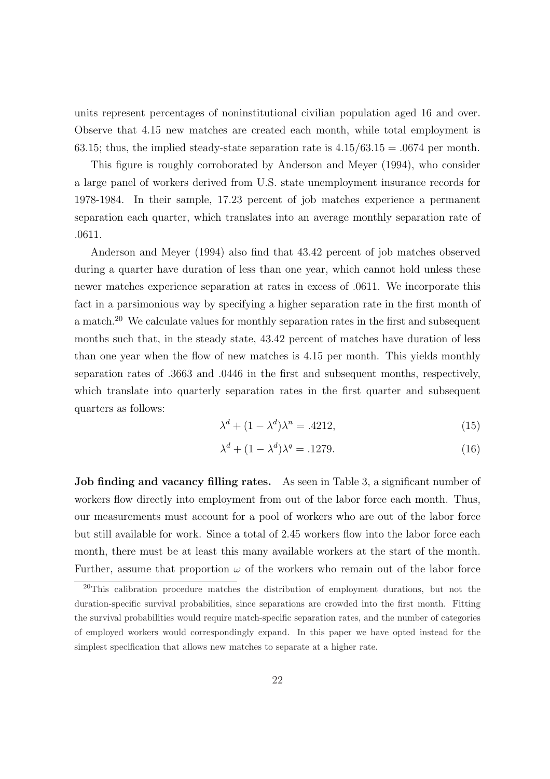units represent percentages of noninstitutional civilian population aged 16 and over. Observe that 4.15 new matches are created each month, while total employment is 63.15; thus, the implied steady-state separation rate is  $4.15/63.15 = .0674$  per month.

This figure is roughly corroborated by Anderson and Meyer (1994), who consider a large panel of workers derived from U.S. state unemployment insurance records for 1978-1984. In their sample, 17.23 percent of job matches experience a permanent separation each quarter, which translates into an average monthly separation rate of .0611.

Anderson and Meyer (1994) also find that 43.42 percent of job matches observed during a quarter have duration of less than one year, which cannot hold unless these newer matches experience separation at rates in excess of .0611. We incorporate this fact in a parsimonious way by specifying a higher separation rate in the first month of a match.<sup>20</sup> We calculate values for monthly separation rates in the first and subsequent months such that, in the steady state, 43.42 percent of matches have duration of less than one year when the flow of new matches is 4.15 per month. This yields monthly separation rates of .3663 and .0446 in the first and subsequent months, respectively, which translate into quarterly separation rates in the first quarter and subsequent quarters as follows:

$$
\lambda^d + (1 - \lambda^d)\lambda^n = .4212,\tag{15}
$$

$$
\lambda^d + (1 - \lambda^d)\lambda^q = .1279.
$$
\n(16)

Job finding and vacancy filling rates. As seen in Table 3, a significant number of workers flow directly into employment from out of the labor force each month. Thus, our measurements must account for a pool of workers who are out of the labor force but still available for work. Since a total of 2.45 workers flow into the labor force each month, there must be at least this many available workers at the start of the month. Further, assume that proportion  $\omega$  of the workers who remain out of the labor force

 $20$ This calibration procedure matches the distribution of employment durations, but not the duration-specific survival probabilities, since separations are crowded into the first month. Fitting the survival probabilities would require match-specific separation rates, and the number of categories of employed workers would correspondingly expand. In this paper we have opted instead for the simplest specification that allows new matches to separate at a higher rate.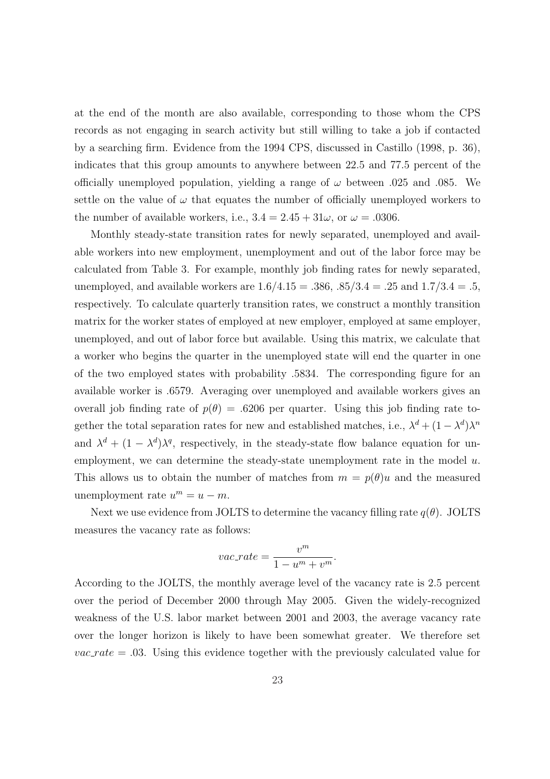at the end of the month are also available, corresponding to those whom the CPS records as not engaging in search activity but still willing to take a job if contacted by a searching firm. Evidence from the 1994 CPS, discussed in Castillo (1998, p. 36), indicates that this group amounts to anywhere between 22.5 and 77.5 percent of the officially unemployed population, yielding a range of  $\omega$  between .025 and .085. We settle on the value of  $\omega$  that equates the number of officially unemployed workers to the number of available workers, i.e.,  $3.4 = 2.45 + 31\omega$ , or  $\omega = .0306$ .

Monthly steady-state transition rates for newly separated, unemployed and available workers into new employment, unemployment and out of the labor force may be calculated from Table 3. For example, monthly job finding rates for newly separated, unemployed, and available workers are  $1.6/4.15 = .386, .85/3.4 = .25$  and  $1.7/3.4 = .5$ , respectively. To calculate quarterly transition rates, we construct a monthly transition matrix for the worker states of employed at new employer, employed at same employer, unemployed, and out of labor force but available. Using this matrix, we calculate that a worker who begins the quarter in the unemployed state will end the quarter in one of the two employed states with probability .5834. The corresponding figure for an available worker is .6579. Averaging over unemployed and available workers gives an overall job finding rate of  $p(\theta) = .6206$  per quarter. Using this job finding rate together the total separation rates for new and established matches, i.e.,  $\lambda^d + (1 - \lambda^d)\lambda^n$ and  $\lambda^d + (1 - \lambda^d)\lambda^q$ , respectively, in the steady-state flow balance equation for unemployment, we can determine the steady-state unemployment rate in the model  $u$ . This allows us to obtain the number of matches from  $m = p(\theta)u$  and the measured unemployment rate  $u^m = u - m$ .

Next we use evidence from JOLTS to determine the vacancy filling rate  $q(\theta)$ . JOLTS measures the vacancy rate as follows:

$$
vac\_rate = \frac{v^m}{1 - u^m + v^m}.
$$

According to the JOLTS, the monthly average level of the vacancy rate is 2.5 percent over the period of December 2000 through May 2005. Given the widely-recognized weakness of the U.S. labor market between 2001 and 2003, the average vacancy rate over the longer horizon is likely to have been somewhat greater. We therefore set  $vac_rate = .03.$  Using this evidence together with the previously calculated value for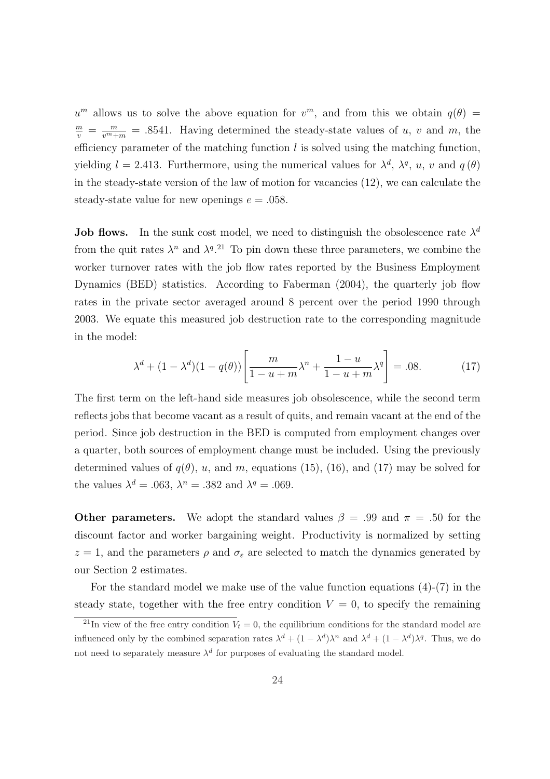$u^m$  allows us to solve the above equation for  $v^m$ , and from this we obtain  $q(\theta)$  =  $\frac{m}{v} = \frac{m}{v^m+m} = .8541$ . Having determined the steady-state values of u, v and m, the efficiency parameter of the matching function  $l$  is solved using the matching function, yielding  $l = 2.413$ . Furthermore, using the numerical values for  $\lambda^d$ ,  $\lambda^q$ ,  $u$ ,  $v$  and  $q(\theta)$ in the steady-state version of the law of motion for vacancies (12), we can calculate the steady-state value for new openings  $e = .058$ .

**Job flows.** In the sunk cost model, we need to distinguish the obsolescence rate  $\lambda^d$ from the quit rates  $\lambda^n$  and  $\lambda^{q}$ .<sup>21</sup> To pin down these three parameters, we combine the worker turnover rates with the job flow rates reported by the Business Employment Dynamics (BED) statistics. According to Faberman (2004), the quarterly job flow rates in the private sector averaged around 8 percent over the period 1990 through 2003. We equate this measured job destruction rate to the corresponding magnitude in the model:

$$
\lambda^{d} + (1 - \lambda^{d})(1 - q(\theta)) \left[ \frac{m}{1 - u + m} \lambda^{n} + \frac{1 - u}{1 - u + m} \lambda^{q} \right] = .08.
$$
 (17)

The first term on the left-hand side measures job obsolescence, while the second term reflects jobs that become vacant as a result of quits, and remain vacant at the end of the period. Since job destruction in the BED is computed from employment changes over a quarter, both sources of employment change must be included. Using the previously determined values of  $q(\theta)$ , u, and m, equations (15), (16), and (17) may be solved for the values  $\lambda^d = .063$ ,  $\lambda^n = .382$  and  $\lambda^q = .069$ .

**Other parameters.** We adopt the standard values  $\beta = .99$  and  $\pi = .50$  for the discount factor and worker bargaining weight. Productivity is normalized by setting  $z = 1$ , and the parameters  $\rho$  and  $\sigma_{\varepsilon}$  are selected to match the dynamics generated by our Section 2 estimates.

For the standard model we make use of the value function equations  $(4)-(7)$  in the steady state, together with the free entry condition  $V = 0$ , to specify the remaining

<sup>&</sup>lt;sup>21</sup>In view of the free entry condition  $V_t = 0$ , the equilibrium conditions for the standard model are influenced only by the combined separation rates  $\lambda^d + (1 - \lambda^d)\lambda^n$  and  $\lambda^d + (1 - \lambda^d)\lambda^q$ . Thus, we do not need to separately measure  $\lambda^d$  for purposes of evaluating the standard model.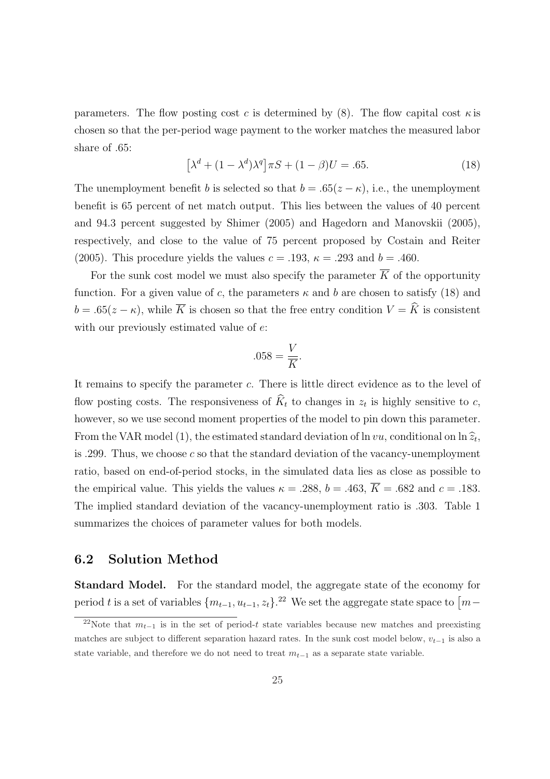parameters. The flow posting cost c is determined by (8). The flow capital cost  $\kappa$  is chosen so that the per-period wage payment to the worker matches the measured labor share of .65: £

$$
\left[\lambda^d + (1 - \lambda^d)\lambda^q\right] \pi S + (1 - \beta)U = .65. \tag{18}
$$

The unemployment benefit b is selected so that  $b = .65(z - \kappa)$ , i.e., the unemployment benefit is 65 percent of net match output. This lies between the values of 40 percent and 94.3 percent suggested by Shimer (2005) and Hagedorn and Manovskii (2005), respectively, and close to the value of 75 percent proposed by Costain and Reiter (2005). This procedure yields the values  $c = .193$ ,  $\kappa = .293$  and  $b = .460$ .

For the sunk cost model we must also specify the parameter  $\overline{K}$  of the opportunity function. For a given value of c, the parameters  $\kappa$  and b are chosen to satisfy (18) and  $b = .65(z - \kappa)$ , while  $\overline{K}$  is chosen so that the free entry condition  $V = \hat{K}$  is consistent with our previously estimated value of  $e$ :

$$
.058 = \frac{V}{\overline{K}}.
$$

It remains to specify the parameter c. There is little direct evidence as to the level of flow posting costs. The responsiveness of  $\widehat{K}_t$  to changes in  $z_t$  is highly sensitive to c, however, so we use second moment properties of the model to pin down this parameter. From the VAR model (1), the estimated standard deviation of  $\ln vu$ , conditional on  $\ln \widehat{z}_t$ , is .299. Thus, we choose c so that the standard deviation of the vacancy-unemployment ratio, based on end-of-period stocks, in the simulated data lies as close as possible to the empirical value. This yields the values  $\kappa = .288$ ,  $b = .463$ ,  $\overline{K} = .682$  and  $c = .183$ . The implied standard deviation of the vacancy-unemployment ratio is .303. Table 1 summarizes the choices of parameter values for both models.

#### 6.2 Solution Method

Standard Model. For the standard model, the aggregate state of the economy for period t is a set of variables  $\{m_{t-1}, u_{t-1}, z_t\}$ .<sup>22</sup> We set the aggregate state space to  $\lceil m-\rceil$ 

<sup>&</sup>lt;sup>22</sup>Note that  $m_{t-1}$  is in the set of period-t state variables because new matches and preexisting matches are subject to different separation hazard rates. In the sunk cost model below,  $v_{t-1}$  is also a state variable, and therefore we do not need to treat  $m_{t-1}$  as a separate state variable.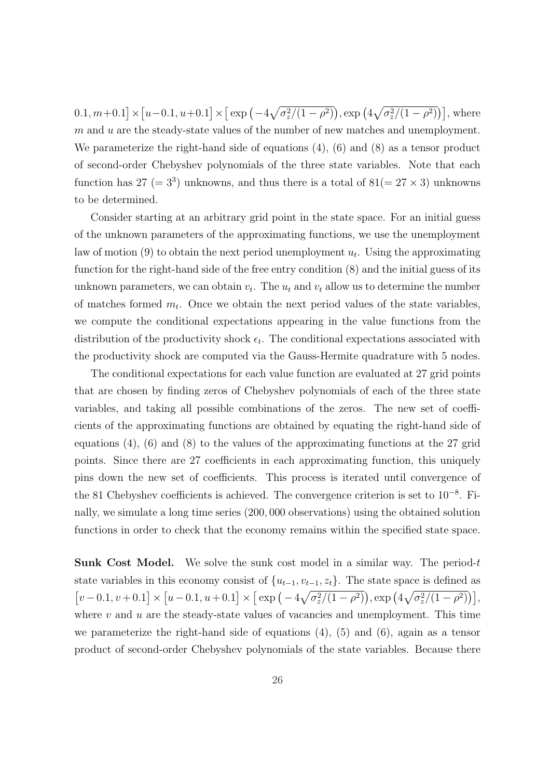$0.1, m+0.1$ l<br>E × £  $u=0.1, u+0.1$ l<br>E ×  $\int \exp(-4$ p  $\sigma_z^2/(1-\rho^2)$  $\big)$ , exp  $(4)$ p  $\overline{\sigma_z^2/(1-\rho^2)}$ , where  $m$  and  $u$  are the steady-state values of the number of new matches and unemployment. We parameterize the right-hand side of equations (4), (6) and (8) as a tensor product of second-order Chebyshev polynomials of the three state variables. Note that each function has  $27 (= 3^3)$  unknowns, and thus there is a total of  $81 (= 27 \times 3)$  unknowns to be determined.

Consider starting at an arbitrary grid point in the state space. For an initial guess of the unknown parameters of the approximating functions, we use the unemployment law of motion  $(9)$  to obtain the next period unemployment  $u_t$ . Using the approximating function for the right-hand side of the free entry condition (8) and the initial guess of its unknown parameters, we can obtain  $v_t$ . The  $u_t$  and  $v_t$  allow us to determine the number of matches formed  $m_t$ . Once we obtain the next period values of the state variables, we compute the conditional expectations appearing in the value functions from the distribution of the productivity shock  $\epsilon_t$ . The conditional expectations associated with the productivity shock are computed via the Gauss-Hermite quadrature with 5 nodes.

The conditional expectations for each value function are evaluated at 27 grid points that are chosen by finding zeros of Chebyshev polynomials of each of the three state variables, and taking all possible combinations of the zeros. The new set of coefficients of the approximating functions are obtained by equating the right-hand side of equations  $(4)$ ,  $(6)$  and  $(8)$  to the values of the approximating functions at the 27 grid points. Since there are 27 coefficients in each approximating function, this uniquely pins down the new set of coefficients. This process is iterated until convergence of the 81 Chebyshev coefficients is achieved. The convergence criterion is set to 10<sup>−</sup><sup>8</sup> . Finally, we simulate a long time series (200, 000 observations) using the obtained solution functions in order to check that the economy remains within the specified state space.

**Sunk Cost Model.** We solve the sunk cost model in a similar way. The period-t state variables in this economy consist of  $\{u_{t-1}, v_{t-1}, z_t\}$ . The state space is defined as −<br>г  $v - 0.1, v + 0.1$ ..<br>¬ ×  $\frac{1}{\tau}$  $u-0.1, u+0.1$ −′<br>¬ ×  $\int \exp\left(-4\right)$  $\frac{1}{\sqrt{2}}$  $\sigma_z^2/(1-\rho^2)$  $\frac{1}{2}$ , exp  $(4)$  $\frac{1}{\sqrt{2}}$  $\left[ \frac{\sigma_z^2}{(1-\rho^2)} \right]$ where  $v$  and  $u$  are the steady-state values of vacancies and unemployment. This time we parameterize the right-hand side of equations (4), (5) and (6), again as a tensor product of second-order Chebyshev polynomials of the state variables. Because there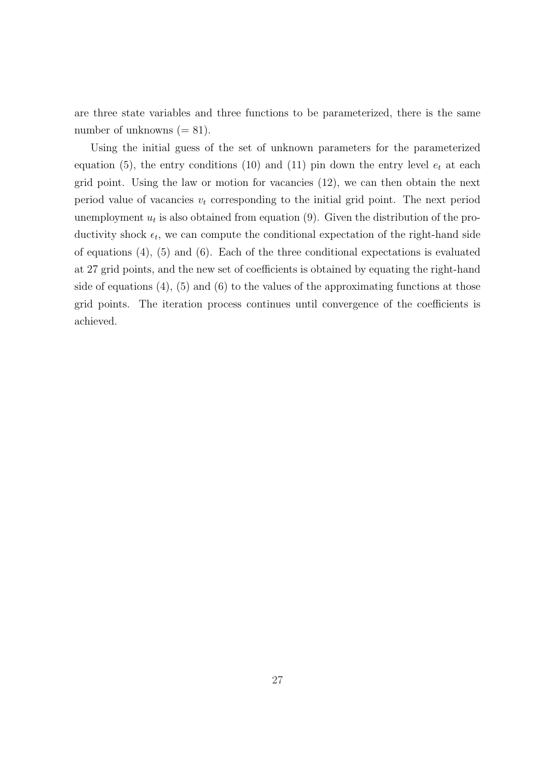are three state variables and three functions to be parameterized, there is the same number of unknowns  $(= 81)$ .

Using the initial guess of the set of unknown parameters for the parameterized equation (5), the entry conditions (10) and (11) pin down the entry level  $e_t$  at each grid point. Using the law or motion for vacancies (12), we can then obtain the next period value of vacancies  $v_t$  corresponding to the initial grid point. The next period unemployment  $u_t$  is also obtained from equation  $(9)$ . Given the distribution of the productivity shock  $\epsilon_t$ , we can compute the conditional expectation of the right-hand side of equations (4), (5) and (6). Each of the three conditional expectations is evaluated at 27 grid points, and the new set of coefficients is obtained by equating the right-hand side of equations  $(4)$ ,  $(5)$  and  $(6)$  to the values of the approximating functions at those grid points. The iteration process continues until convergence of the coefficients is achieved.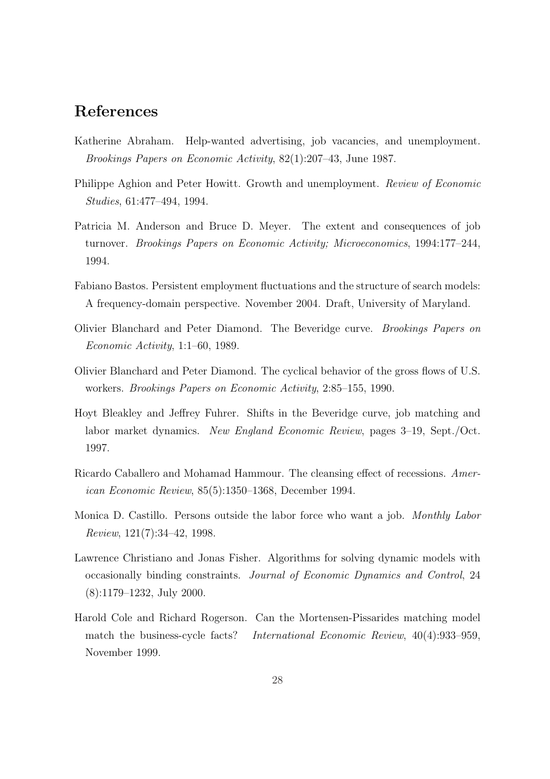# References

- Katherine Abraham. Help-wanted advertising, job vacancies, and unemployment. Brookings Papers on Economic Activity, 82(1):207–43, June 1987.
- Philippe Aghion and Peter Howitt. Growth and unemployment. Review of Economic Studies, 61:477–494, 1994.
- Patricia M. Anderson and Bruce D. Meyer. The extent and consequences of job turnover. Brookings Papers on Economic Activity; Microeconomics, 1994:177–244, 1994.
- Fabiano Bastos. Persistent employment fluctuations and the structure of search models: A frequency-domain perspective. November 2004. Draft, University of Maryland.
- Olivier Blanchard and Peter Diamond. The Beveridge curve. Brookings Papers on Economic Activity, 1:1–60, 1989.
- Olivier Blanchard and Peter Diamond. The cyclical behavior of the gross flows of U.S. workers. Brookings Papers on Economic Activity, 2:85–155, 1990.
- Hoyt Bleakley and Jeffrey Fuhrer. Shifts in the Beveridge curve, job matching and labor market dynamics. New England Economic Review, pages 3–19, Sept./Oct. 1997.
- Ricardo Caballero and Mohamad Hammour. The cleansing effect of recessions. American Economic Review, 85(5):1350–1368, December 1994.
- Monica D. Castillo. Persons outside the labor force who want a job. Monthly Labor Review, 121(7):34–42, 1998.
- Lawrence Christiano and Jonas Fisher. Algorithms for solving dynamic models with occasionally binding constraints. Journal of Economic Dynamics and Control, 24 (8):1179–1232, July 2000.
- Harold Cole and Richard Rogerson. Can the Mortensen-Pissarides matching model match the business-cycle facts? International Economic Review, 40(4):933–959, November 1999.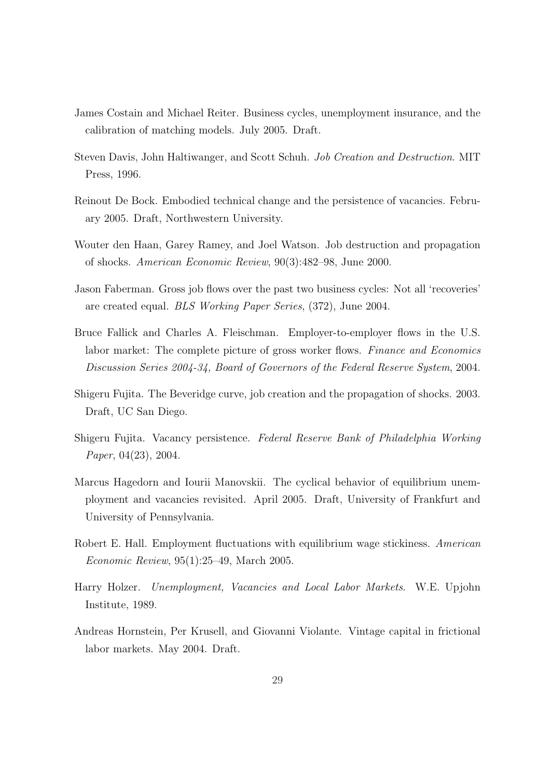- James Costain and Michael Reiter. Business cycles, unemployment insurance, and the calibration of matching models. July 2005. Draft.
- Steven Davis, John Haltiwanger, and Scott Schuh. Job Creation and Destruction. MIT Press, 1996.
- Reinout De Bock. Embodied technical change and the persistence of vacancies. February 2005. Draft, Northwestern University.
- Wouter den Haan, Garey Ramey, and Joel Watson. Job destruction and propagation of shocks. American Economic Review, 90(3):482–98, June 2000.
- Jason Faberman. Gross job flows over the past two business cycles: Not all 'recoveries' are created equal. BLS Working Paper Series, (372), June 2004.
- Bruce Fallick and Charles A. Fleischman. Employer-to-employer flows in the U.S. labor market: The complete picture of gross worker flows. Finance and Economics Discussion Series 2004-34, Board of Governors of the Federal Reserve System, 2004.
- Shigeru Fujita. The Beveridge curve, job creation and the propagation of shocks. 2003. Draft, UC San Diego.
- Shigeru Fujita. Vacancy persistence. Federal Reserve Bank of Philadelphia Working Paper, 04(23), 2004.
- Marcus Hagedorn and Iourii Manovskii. The cyclical behavior of equilibrium unemployment and vacancies revisited. April 2005. Draft, University of Frankfurt and University of Pennsylvania.
- Robert E. Hall. Employment fluctuations with equilibrium wage stickiness. American Economic Review, 95(1):25–49, March 2005.
- Harry Holzer. Unemployment, Vacancies and Local Labor Markets. W.E. Upjohn Institute, 1989.
- Andreas Hornstein, Per Krusell, and Giovanni Violante. Vintage capital in frictional labor markets. May 2004. Draft.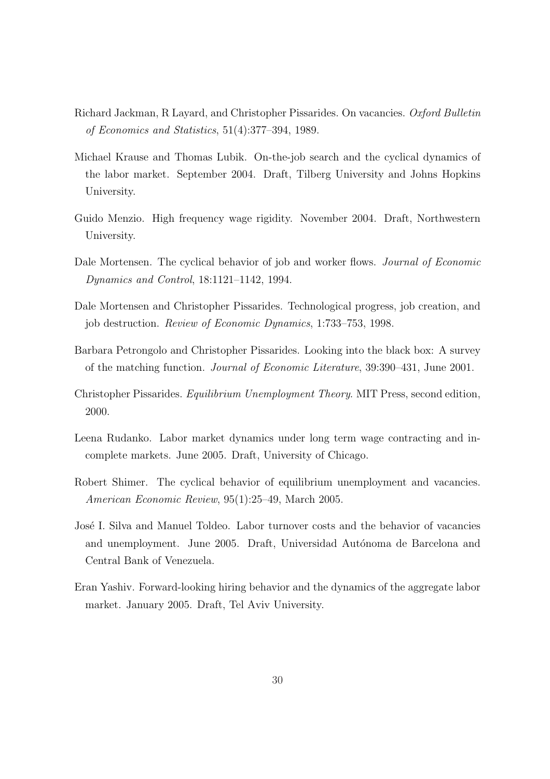- Richard Jackman, R Layard, and Christopher Pissarides. On vacancies. Oxford Bulletin of Economics and Statistics, 51(4):377–394, 1989.
- Michael Krause and Thomas Lubik. On-the-job search and the cyclical dynamics of the labor market. September 2004. Draft, Tilberg University and Johns Hopkins University.
- Guido Menzio. High frequency wage rigidity. November 2004. Draft, Northwestern University.
- Dale Mortensen. The cyclical behavior of job and worker flows. *Journal of Economic* Dynamics and Control, 18:1121–1142, 1994.
- Dale Mortensen and Christopher Pissarides. Technological progress, job creation, and job destruction. Review of Economic Dynamics, 1:733–753, 1998.
- Barbara Petrongolo and Christopher Pissarides. Looking into the black box: A survey of the matching function. Journal of Economic Literature, 39:390–431, June 2001.
- Christopher Pissarides. Equilibrium Unemployment Theory. MIT Press, second edition, 2000.
- Leena Rudanko. Labor market dynamics under long term wage contracting and incomplete markets. June 2005. Draft, University of Chicago.
- Robert Shimer. The cyclical behavior of equilibrium unemployment and vacancies. American Economic Review, 95(1):25–49, March 2005.
- José I. Silva and Manuel Toldeo. Labor turnover costs and the behavior of vacancies and unemployment. June 2005. Draft, Universidad Autónoma de Barcelona and Central Bank of Venezuela.
- Eran Yashiv. Forward-looking hiring behavior and the dynamics of the aggregate labor market. January 2005. Draft, Tel Aviv University.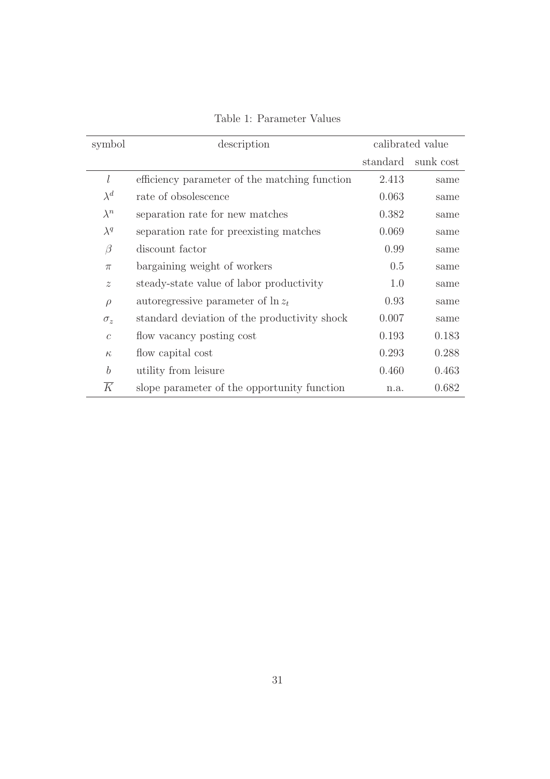| symbol                    | description                                   | calibrated value |           |
|---------------------------|-----------------------------------------------|------------------|-----------|
|                           |                                               | standard         | sunk cost |
| l                         | efficiency parameter of the matching function | 2.413            | same      |
| $\lambda^d$               | rate of obsolescence                          | 0.063            | same      |
| $\lambda^n$               | separation rate for new matches               | 0.382            | same      |
| $\lambda^q$               | separation rate for preexisting matches       | 0.069            | same      |
| $\beta$                   | discount factor                               | 0.99             | same      |
| $\pi$                     | bargaining weight of workers                  | 0.5              | same      |
| $\widetilde{\mathcal{Z}}$ | steady-state value of labor productivity      | 1.0              | same      |
| $\rho$                    | autoregressive parameter of $\ln z_t$         | 0.93             | same      |
| $\sigma_z$                | standard deviation of the productivity shock  | 0.007            | same      |
| $\mathcal{C}$             | flow vacancy posting cost                     | 0.193            | 0.183     |
| $\kappa$                  | flow capital cost                             | 0.293            | 0.288     |
| $\boldsymbol{b}$          | utility from leisure                          | 0.460            | 0.463     |
| $\overline{K}$            | slope parameter of the opportunity function   | n.a.             | 0.682     |

Table 1: Parameter Values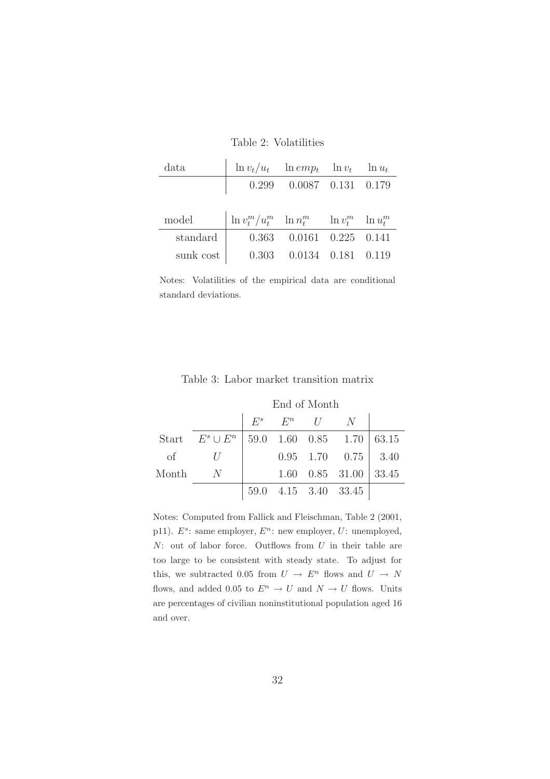Table 2: Volatilities

| data     |                                                                              | $\ln v_t/u_t$ $\ln emp_t$ $\ln v_t$ $\ln u_t$ |  |  |
|----------|------------------------------------------------------------------------------|-----------------------------------------------|--|--|
|          |                                                                              | $0.299$ $0.0087$ $0.131$ $0.179$              |  |  |
|          |                                                                              |                                               |  |  |
|          |                                                                              |                                               |  |  |
| model    | $\left  \ln v_t^m / u_t^m \right  \ln n_t^m \quad \ln v_t^m \quad \ln u_t^m$ |                                               |  |  |
| standard |                                                                              | $0.363$ $0.0161$ $0.225$ $0.141$              |  |  |

Notes: Volatilities of the empirical data are conditional standard deviations.

|           |                                                | End of Month |  |                   |                                           |  |  |
|-----------|------------------------------------------------|--------------|--|-------------------|-------------------------------------------|--|--|
|           |                                                |              |  | $E^s$ $E^n$ $U$ N |                                           |  |  |
|           | Start $E^s \cup E^n$ 59.0 1.60 0.85 1.70 63.15 |              |  |                   |                                           |  |  |
| $\circ$ f |                                                |              |  |                   | $0.95 \quad 1.70 \quad 0.75 \mid 3.40$    |  |  |
| Month     | $\overline{N}$                                 |              |  |                   | $1.60 \quad 0.85 \quad 31.00 \quad 33.45$ |  |  |
|           |                                                |              |  |                   | 59.0 4.15 3.40 33.45                      |  |  |

Notes: Computed from Fallick and Fleischman, Table 2 (2001, p11).  $E^s$ : same employer,  $E^n$ : new employer,  $U$ : unemployed,  $N:$  out of labor force. Outflows from  $U$  in their table are too large to be consistent with steady state. To adjust for this, we subtracted 0.05 from  $U \rightarrow E^n$  flows and  $U \rightarrow N$ flows, and added 0.05 to  $E^n \to U$  and  $N \to U$  flows. Units are percentages of civilian noninstitutional population aged 16 and over.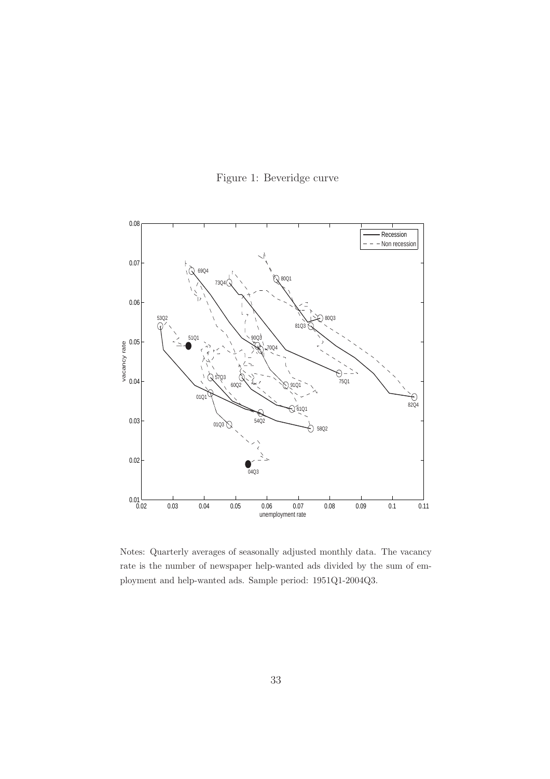



Notes: Quarterly averages of seasonally adjusted monthly data. The vacancy rate is the number of newspaper help-wanted ads divided by the sum of employment and help-wanted ads. Sample period: 1951Q1-2004Q3.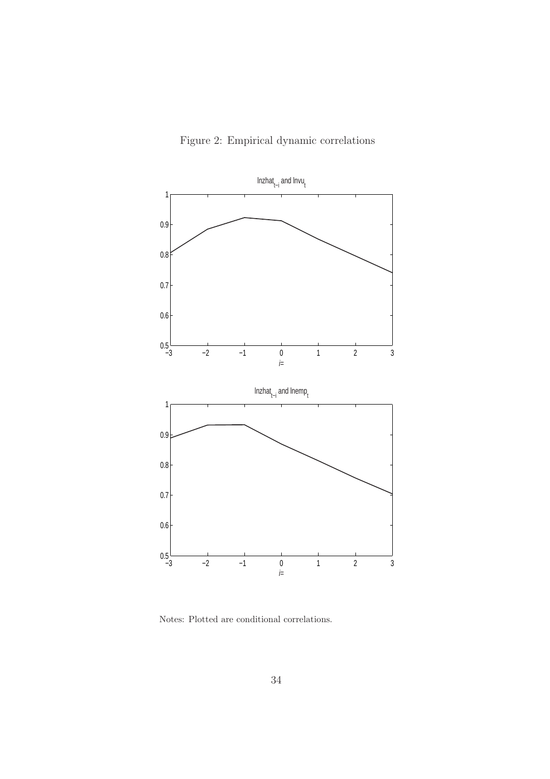



Notes: Plotted are conditional correlations.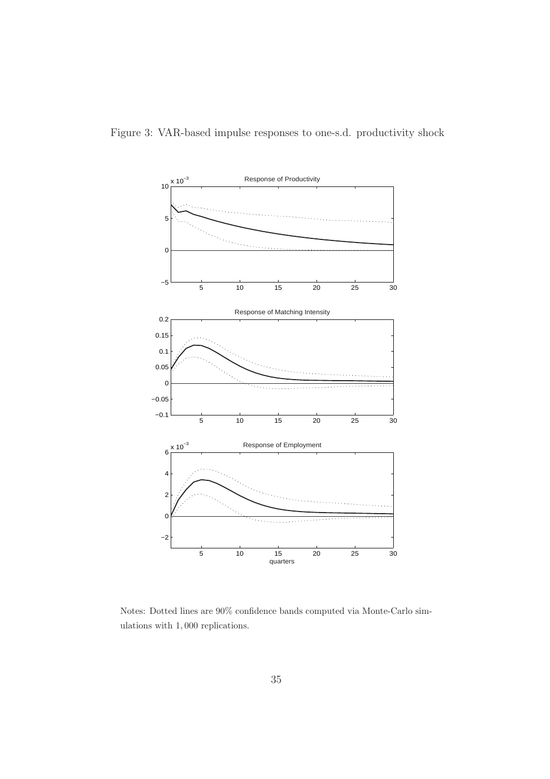

Notes: Dotted lines are 90% confidence bands computed via Monte-Carlo simulations with 1, 000 replications.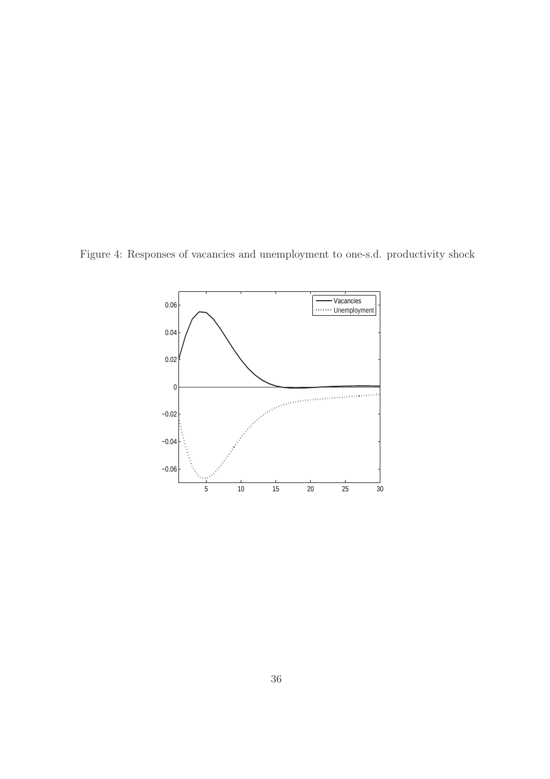Figure 4: Responses of vacancies and unemployment to one-s.d. productivity shock

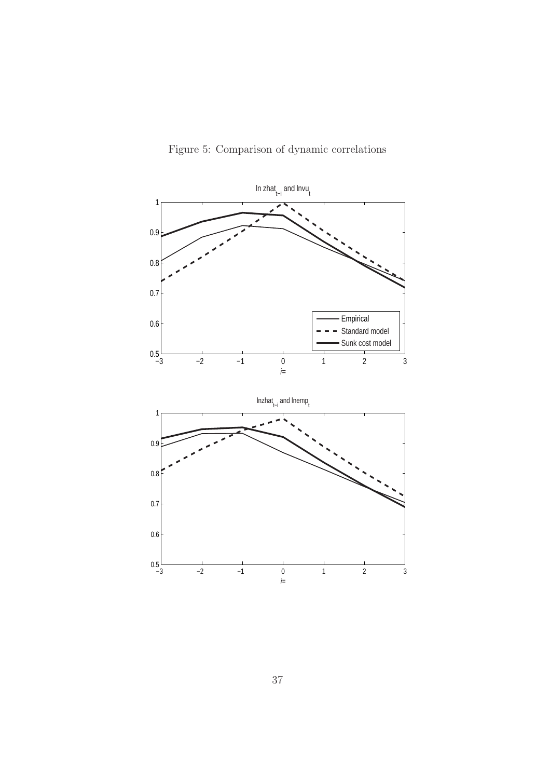

Figure 5: Comparison of dynamic correlations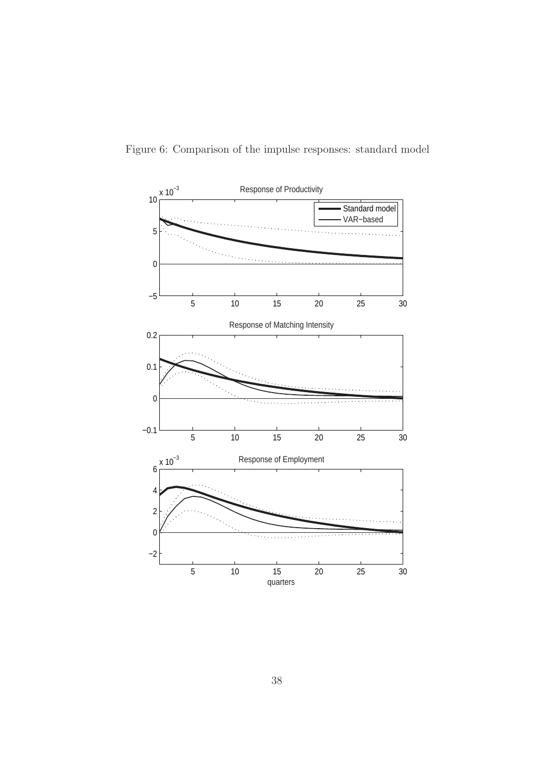

Figure 6: Comparison of the impulse responses: standard model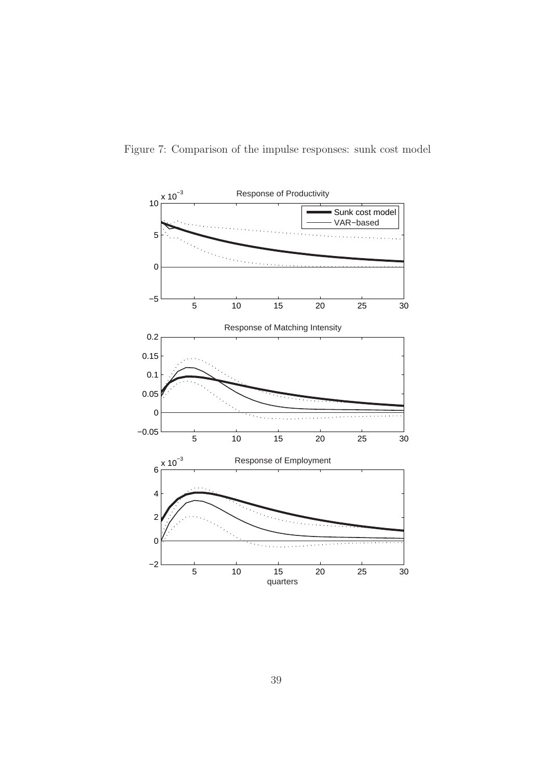

Figure 7: Comparison of the impulse responses: sunk cost model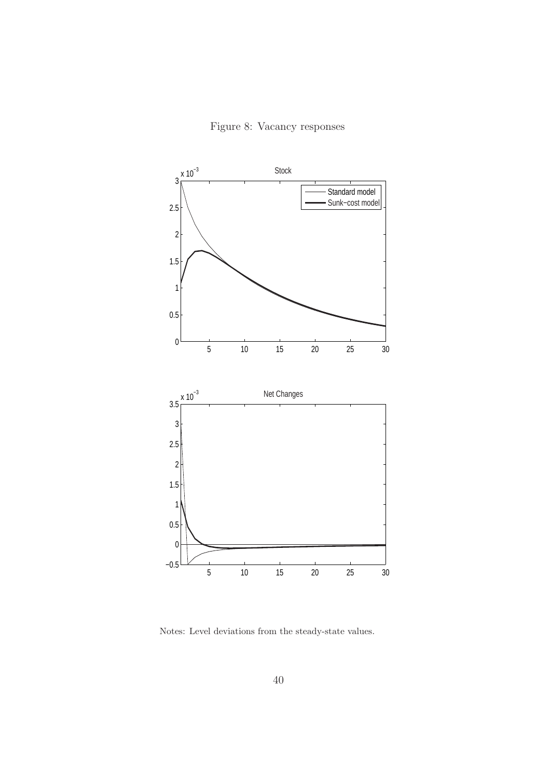Figure 8: Vacancy responses



Notes: Level deviations from the steady-state values.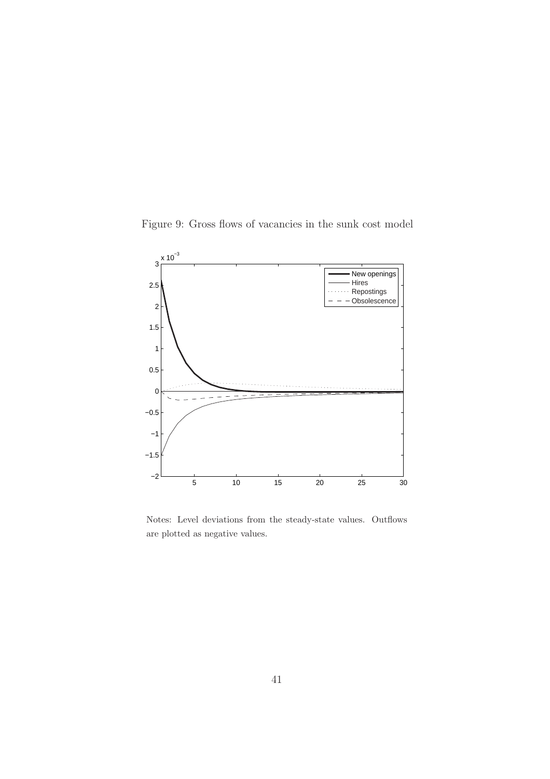Figure 9: Gross flows of vacancies in the sunk cost model



Notes: Level deviations from the steady-state values. Outflows are plotted as negative values.